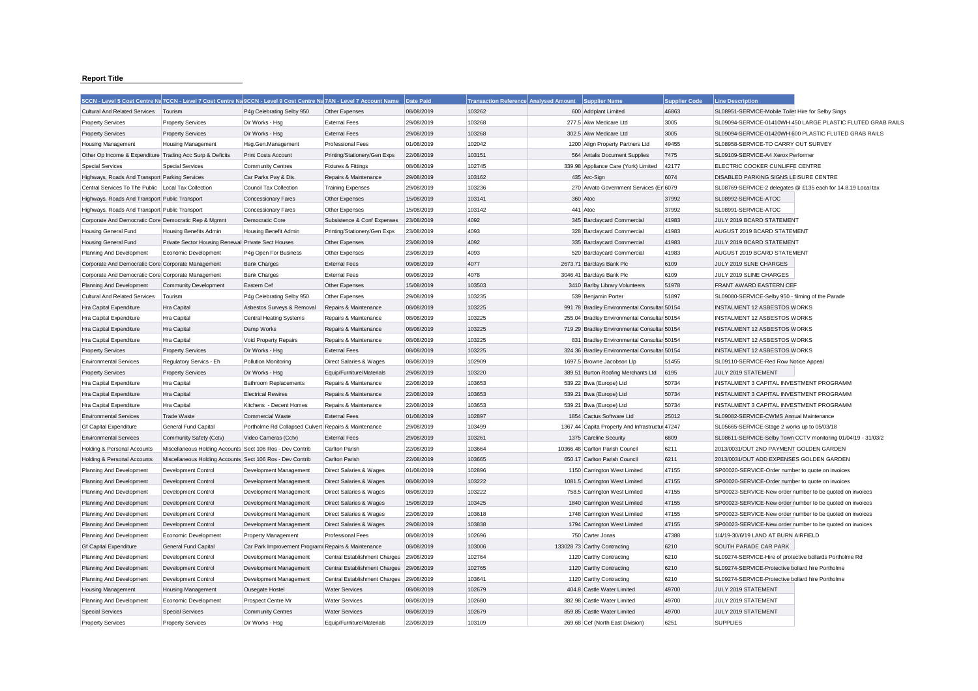## **Report Title**

|                                                           | 5CCN - Level 5 Cost Centre Na 7CCN - Level 7 Cost Centre Na 9CCN - Level 9 Cost Centre Na 7AN - Level 7 Account Name |                                                      |                               | Date Paid  | <b>Transaction Reference Analysed Amount</b> | Supplier Name                                   | <b>Supplier Code</b> | <b>Line Description</b>                                   |                                                               |
|-----------------------------------------------------------|----------------------------------------------------------------------------------------------------------------------|------------------------------------------------------|-------------------------------|------------|----------------------------------------------|-------------------------------------------------|----------------------|-----------------------------------------------------------|---------------------------------------------------------------|
| <b>Cultural And Related Services</b>                      | Tourism                                                                                                              | P4g Celebrating Selby 950                            | Other Expenses                | 08/08/2019 | 103262                                       | 600 Addplant Limited                            | 46863                | SL08951-SERVICE-Mobile Toilet Hire for Selby Sings        |                                                               |
| <b>Property Services</b>                                  | <b>Property Services</b>                                                                                             | Dir Works - Hsg                                      | <b>External Fees</b>          | 29/08/2019 | 103268                                       | 277.5 Akw Medicare Ltd                          | 3005                 |                                                           | SL09094-SERVICE-01410WH 450 LARGE PLASTIC FLUTED GRAB RAILS   |
| <b>Property Services</b>                                  | <b>Property Services</b>                                                                                             | Dir Works - Hsg                                      | <b>External Fees</b>          | 29/08/2019 | 103268                                       | 302.5 Akw Medicare Ltd                          | 3005                 |                                                           | SL09094-SERVICE-01420WH 600 PLASTIC FLUTED GRAB RAILS         |
| <b>Housing Management</b>                                 | <b>Housing Management</b>                                                                                            | Hsg.Gen.Management                                   | Professional Fees             | 01/08/2019 | 102042                                       | 1200 Align Property Partners Ltd                | 49455                | SL08958-SERVICE-TO CARRY OUT SURVEY                       |                                                               |
| Other Op Income & Expenditure Trading Acc Surp & Deficits |                                                                                                                      | <b>Print Costs Account</b>                           | Printing/Stationery/Gen Exps  | 22/08/2019 | 103151                                       | 564 Antalis Document Supplies                   | 7475                 | SL09109-SERVICE-A4 Xerox Performer                        |                                                               |
| <b>Special Services</b>                                   | <b>Special Services</b>                                                                                              | Community Centres                                    | Fixtures & Fittings           | 08/08/2019 | 102745                                       | 339.98 Appliance Care (York) Limited            | 42177                | ELECTRIC COOKER CUNLIFFE CENTRE                           |                                                               |
| Highways, Roads And Transport Parking Services            |                                                                                                                      | Car Parks Pay & Dis.                                 | Repairs & Maintenance         | 29/08/2019 | 103162                                       | 435 Arc-Sign                                    | 6074                 | DISABLED PARKING SIGNS LEISURE CENTRE                     |                                                               |
| Central Services To The Public   Local Tax Collection     |                                                                                                                      | Council Tax Collection                               | <b>Training Expenses</b>      | 29/08/2019 | 103236                                       | 270 Arvato Government Services (Er 6079         |                      |                                                           | SL08769-SERVICE-2 delegates @ £135 each for 14.8.19 Local tax |
| Highways, Roads And Transport Public Transport            |                                                                                                                      | Concessionary Fares                                  | Other Expenses                | 15/08/2019 | 103141                                       | 360 Atoc                                        | 37992                | SL08992-SERVICE-ATOC                                      |                                                               |
| Highways, Roads And Transport Public Transport            |                                                                                                                      | Concessionary Fares                                  | Other Expenses                | 15/08/2019 | 103142                                       | 441 Atoc                                        | 37992                | SL08991-SERVICE-ATOC                                      |                                                               |
| Corporate And Democratic Core Democratic Rep & Mgmnt      |                                                                                                                      | Democratic Core                                      | Subsistence & Conf Expenses   | 23/08/2019 | 4092                                         | 345 Barclaycard Commercial                      | 41983                | JULY 2019 BCARD STATEMENT                                 |                                                               |
| Housing General Fund                                      | <b>Housing Benefits Admin</b>                                                                                        | <b>Housing Benefit Admin</b>                         | Printing/Stationery/Gen Exps  | 23/08/2019 | 4093                                         | 328 Barclaycard Commercial                      | 41983                | AUGUST 2019 BCARD STATEMENT                               |                                                               |
| Housing General Fund                                      | Private Sector Housing Renewal Private Sect Houses                                                                   |                                                      | Other Expenses                | 23/08/2019 | 4092                                         | 335 Barclaycard Commercial                      | 41983                | JULY 2019 BCARD STATEMENT                                 |                                                               |
| Planning And Development                                  | Economic Development                                                                                                 | P4g Open For Business                                | Other Expenses                | 23/08/2019 | 4093                                         | 520 Barclaycard Commercial                      | 41983                | AUGUST 2019 BCARD STATEMENT                               |                                                               |
| Corporate And Democratic Core Corporate Management        |                                                                                                                      | <b>Bank Charges</b>                                  | <b>External Fees</b>          | 09/08/2019 | 4077                                         | 2673.71 Barclays Bank Plc                       | 6109                 | JULY 2019 SLNE CHARGES                                    |                                                               |
| Corporate And Democratic Core Corporate Management        |                                                                                                                      | <b>Bank Charges</b>                                  | <b>External Fees</b>          | 09/08/2019 | 4078                                         | 3046.41 Barclays Bank Plc                       | 6109                 | JULY 2019 SLINE CHARGES                                   |                                                               |
| Planning And Development                                  | <b>Community Development</b>                                                                                         | Eastern Cef                                          | Other Expenses                | 15/08/2019 | 103503                                       | 3410 Barlby Library Volunteers                  | 51978                | FRANT AWARD EASTERN CEF                                   |                                                               |
| Cultural And Related Services                             | Tourism                                                                                                              | P4g Celebrating Selby 950                            | Other Expenses                | 29/08/2019 | 103235                                       | 539 Benjamin Porter                             | 51897                | SL09080-SERVICE-Selby 950 - filming of the Parade         |                                                               |
| Hra Capital Expenditure                                   | Hra Capital                                                                                                          | Asbestos Surveys & Removal                           | Repairs & Maintenance         | 08/08/2019 | 103225                                       | 991.78 Bradley Environmental Consultar 50154    |                      | <b>INSTALMENT 12 ASBESTOS WORKS</b>                       |                                                               |
| Hra Capital Expenditure                                   | <b>Hra Capital</b>                                                                                                   | Central Heating Systems                              | Repairs & Maintenance         | 08/08/2019 | 103225                                       | 255.04 Bradley Environmental Consultar 50154    |                      | <b>INSTALMENT 12 ASBESTOS WORKS</b>                       |                                                               |
| Hra Capital Expenditure                                   | <b>Hra Capital</b>                                                                                                   | Damp Works                                           | Repairs & Maintenance         | 08/08/2019 | 103225                                       | 719.29 Bradley Environmental Consultar 50154    |                      | <b>INSTALMENT 12 ASBESTOS WORKS</b>                       |                                                               |
| Hra Capital Expenditure                                   | Hra Capital                                                                                                          | Void Property Repairs                                | Repairs & Maintenance         | 08/08/2019 | 103225                                       | 831 Bradley Environmental Consultar 50154       |                      | <b>INSTALMENT 12 ASBESTOS WORKS</b>                       |                                                               |
| <b>Property Services</b>                                  | <b>Property Services</b>                                                                                             | Dir Works - Hsg                                      | <b>External Fees</b>          | 08/08/2019 | 103225                                       | 324.36 Bradley Environmental Consultar 50154    |                      | <b>INSTALMENT 12 ASBESTOS WORKS</b>                       |                                                               |
| <b>Environmental Services</b>                             | Regulatory Servics - Eh                                                                                              | Pollution Monitoring                                 | Direct Salaries & Wages       | 08/08/2019 | 102909                                       | 1697.5 Browne Jacobson Llp                      | 51455                | SL09110-SERVICE-Red Row Notice Appeal                     |                                                               |
| <b>Property Services</b>                                  | <b>Property Services</b>                                                                                             | Dir Works - Hsg                                      | Equip/Furniture/Materials     | 29/08/2019 | 103220                                       | 389.51 Burton Roofing Merchants Ltd             | 6195                 | JULY 2019 STATEMENT                                       |                                                               |
| Hra Capital Expenditure                                   | Hra Capital                                                                                                          | <b>Bathroom Replacements</b>                         | Repairs & Maintenance         | 22/08/2019 | 103653                                       | 539.22 Bwa (Europe) Ltd                         | 50734                | INSTALMENT 3 CAPITAL INVESTMENT PROGRAMM                  |                                                               |
| Hra Capital Expenditure                                   | Hra Capital                                                                                                          | <b>Electrical Rewires</b>                            | Repairs & Maintenance         | 22/08/2019 | 103653                                       | 539.21 Bwa (Europe) Ltd                         | 50734                | INSTALMENT 3 CAPITAL INVESTMENT PROGRAMM                  |                                                               |
| Hra Capital Expenditure                                   | Hra Capital                                                                                                          | Kitchens - Decent Homes                              | Repairs & Maintenance         | 22/08/2019 | 103653                                       | 539.21 Bwa (Europe) Ltd                         | 50734                | INSTALMENT 3 CAPITAL INVESTMENT PROGRAMM                  |                                                               |
| <b>Environmental Services</b>                             | <b>Trade Waste</b>                                                                                                   | Commercial Waste                                     | <b>External Fees</b>          | 01/08/2019 | 102897                                       | 1854 Cactus Software Ltd                        | 25012                | SL09082-SERVICE-CWMS Annual Maintenance                   |                                                               |
| <b>Gf Capital Expenditure</b>                             | General Fund Capital                                                                                                 | Portholme Rd Collapsed Culvert Repairs & Maintenance |                               | 29/08/2019 | 103499                                       | 1367.44 Capita Property And Infrastructur 47247 |                      | SL05665-SERVICE-Stage 2 works up to 05/03/18              |                                                               |
| <b>Environmental Services</b>                             | Community Safety (Cctv)                                                                                              | Video Cameras (Cctv)                                 | <b>External Fees</b>          | 29/08/2019 | 103261                                       | 1375 Careline Security                          | 6809                 |                                                           | SL08611-SERVICE-Selby Town CCTV monitoring 01/04/19 - 31/03/2 |
| Holding & Personal Accounts                               | Miscellaneous Holding Accounts Sect 106 Ros - Dev Contrib                                                            |                                                      | Carlton Parish                | 22/08/2019 | 103664                                       | 10366.48 Carlton Parish Council                 | 6211                 | 2013/0031/OUT 2ND PAYMENT GOLDEN GARDEN                   |                                                               |
| Holding & Personal Accounts                               | Miscellaneous Holding Accounts Sect 106 Ros - Dev Contrib                                                            |                                                      | <b>Carlton Parish</b>         | 22/08/2019 | 103665                                       | 650.17 Carlton Parish Council                   | 6211                 | 2013/0031/OUT ADD EXPENSES GOLDEN GARDEN                  |                                                               |
| Planning And Development                                  | Development Control                                                                                                  | Development Management                               | Direct Salaries & Wages       | 01/08/2019 | 102896                                       | 1150 Carrington West Limited                    | 47155                | SP00020-SERVICE-Order number to quote on invoices         |                                                               |
| Planning And Development                                  | Development Control                                                                                                  | Development Management                               | Direct Salaries & Wages       | 08/08/2019 | 103222                                       | 1081.5 Carrington West Limited                  | 47155                | SP00020-SERVICE-Order number to quote on invoices         |                                                               |
| Planning And Development                                  | Development Control                                                                                                  | Development Management                               | Direct Salaries & Wages       | 08/08/2019 | 103222                                       | 758.5 Carrington West Limited                   | 47155                | SP00023-SERVICE-New order number to be quoted on invoices |                                                               |
| Planning And Development                                  | Development Control                                                                                                  | Development Management                               | Direct Salaries & Wages       | 15/08/2019 | 103425                                       | 1840 Carrington West Limited                    | 47155                | SP00023-SERVICE-New order number to be quoted on invoices |                                                               |
| Planning And Development                                  | Development Control                                                                                                  | Development Management                               | Direct Salaries & Wages       | 22/08/2019 | 103618                                       | 1748 Carrington West Limited                    | 47155                | SP00023-SERVICE-New order number to be quoted on invoices |                                                               |
| Planning And Development                                  | Development Control                                                                                                  | Development Management                               | Direct Salaries & Wages       | 29/08/2019 | 103838                                       | 1794 Carrington West Limited                    | 47155                | SP00023-SERVICE-New order number to be quoted on invoices |                                                               |
| Planning And Development                                  | Economic Development                                                                                                 | <b>Property Management</b>                           | <b>Professional Fees</b>      | 08/08/2019 | 102696                                       | 750 Carter Jonas                                | 47388                | 1/4/19-30/6/19 LAND AT BURN AIRFIELD                      |                                                               |
| <b>Gf Capital Expenditure</b>                             | General Fund Capital                                                                                                 | Car Park Improvement Program: Repairs & Maintenance  |                               | 08/08/2019 | 103006                                       | 133028.73 Carthy Contracting                    | 6210                 | SOUTH PARADE CAR PARK                                     |                                                               |
| Planning And Development                                  | Development Control                                                                                                  | Development Management                               | Central Establishment Charges | 29/08/2019 | 102764                                       | 1120 Carthy Contracting                         | 6210                 | SL09274-SERVICE-Hire of protective bollards Portholme Rd  |                                                               |
| Planning And Development                                  | Development Control                                                                                                  | Development Management                               | Central Establishment Charges | 29/08/2019 | 102765                                       | 1120 Carthy Contracting                         | 6210                 | SL09274-SERVICE-Protective bollard hire Portholme         |                                                               |
| Planning And Development                                  | Development Control                                                                                                  | Development Management                               | Central Establishment Charges | 29/08/2019 | 103641                                       | 1120 Carthy Contracting                         | 6210                 | SL09274-SERVICE-Protective bollard hire Portholme         |                                                               |
| <b>Housing Management</b>                                 | <b>Housing Management</b>                                                                                            | Ousegate Hostel                                      | <b>Water Services</b>         | 08/08/2019 | 102679                                       | 404.8 Castle Water Limited                      | 49700                | JULY 2019 STATEMENT                                       |                                                               |
| Planning And Development                                  | Economic Development                                                                                                 | Prospect Centre Mr                                   | <b>Water Services</b>         | 08/08/2019 | 102680                                       | 382.98 Castle Water Limited                     | 49700                | JULY 2019 STATEMENT                                       |                                                               |
| <b>Special Services</b>                                   | <b>Special Services</b>                                                                                              | <b>Community Centres</b>                             | <b>Water Services</b>         | 08/08/2019 | 102679                                       | 859.85 Castle Water Limited                     | 49700                | JULY 2019 STATEMENT                                       |                                                               |
| <b>Property Services</b>                                  | <b>Property Services</b>                                                                                             | Dir Works - Hsg                                      | Equip/Furniture/Materials     | 22/08/2019 | 103109                                       | 269.68 Cef (North East Division)                | 6251                 | <b>SUPPLIES</b>                                           |                                                               |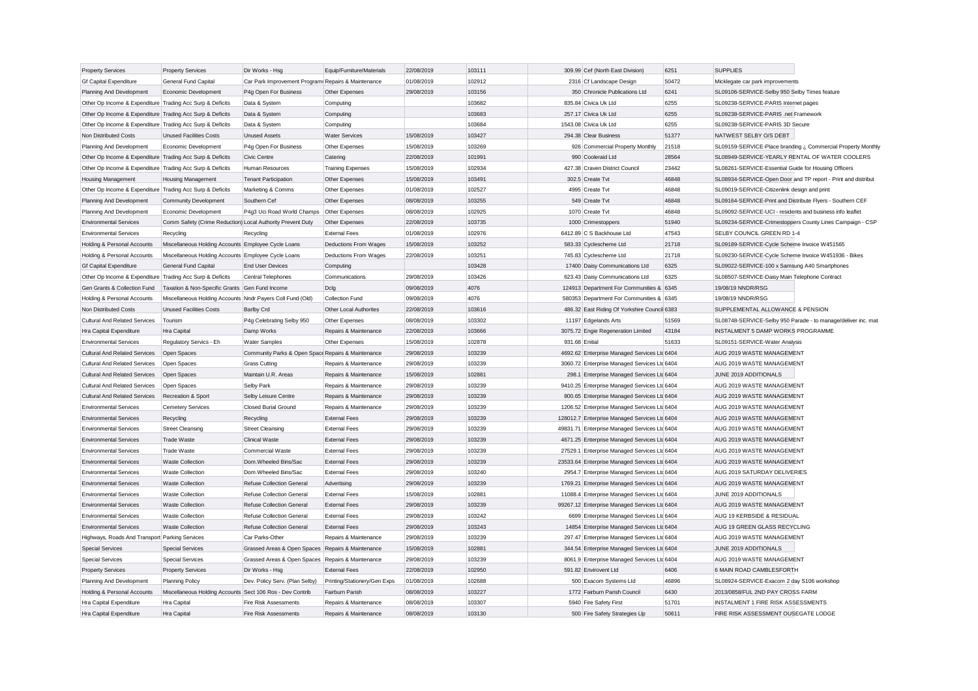|                                                           |                                                            |                                                     | Equip/Furniture/Materials    | 22/08/2019 | 103111 |                | 309.99 Cef (North East Division)              |       | <b>SUPPLIES</b>                                               |                                                               |
|-----------------------------------------------------------|------------------------------------------------------------|-----------------------------------------------------|------------------------------|------------|--------|----------------|-----------------------------------------------|-------|---------------------------------------------------------------|---------------------------------------------------------------|
| <b>Property Services</b>                                  | <b>Property Services</b>                                   | Dir Works - Hsg                                     |                              |            |        |                |                                               | 6251  |                                                               |                                                               |
| <b>Gf Capital Expenditure</b>                             | <b>General Fund Capital</b>                                | Car Park Improvement Program: Repairs & Maintenance |                              | 01/08/2019 | 102912 |                | 2316 Cf Landscape Design                      | 50472 | Micklegate car park improvements                              |                                                               |
| Planning And Development                                  | Economic Development                                       | P4g Open For Business                               | Other Expenses               | 29/08/2019 | 103156 |                | 350 Chronicle Publications Ltd                | 6241  | SL09106-SERVICE-Selby 950 Selby Times feature                 |                                                               |
| Other Op Income & Expenditure Trading Acc Surp & Deficits |                                                            | Data & System                                       | Computing                    |            | 103682 |                | 835.84 Civica Uk Ltd                          | 6255  | SL09238-SERVICE-PARIS Internet pages                          |                                                               |
| Other Op Income & Expenditure Trading Acc Surp & Deficits |                                                            | Data & System                                       | Computing                    |            | 103683 |                | 257.17 Civica Uk Ltd                          | 6255  | SL09238-SERVICE-PARIS .net Framework                          |                                                               |
| Other Op Income & Expenditure Trading Acc Surp & Deficits |                                                            | Data & System                                       | Computing                    |            | 103684 |                | 1543.08 Civica Uk Ltd                         | 6255  | SL09238-SERVICE-PARIS 3D Secure                               |                                                               |
| Non Distributed Costs                                     | <b>Unused Facilities Costs</b>                             | <b>Unused Assets</b>                                | <b>Water Services</b>        | 15/08/2019 | 103427 |                | 294.38 Clear Business                         | 51377 | NATWEST SELBY O/S DEBT                                        |                                                               |
| Planning And Development                                  | Economic Development                                       | P4g Open For Business                               | Other Expenses               | 15/08/2019 | 103269 |                | 926 Commercial Property Monthly               | 21518 |                                                               | SL09159-SERVICE-Place branding ¿ Commercial Property Monthly  |
| Other Op Income & Expenditure Trading Acc Surp & Deficits |                                                            | <b>Civic Centre</b>                                 | Catering                     | 22/08/2019 | 101991 |                | 990 Cooleraid Ltd                             | 28564 | SL08949-SERVICE-YEARLY RENTAL OF WATER COOLERS                |                                                               |
| Other Op Income & Expenditure Trading Acc Surp & Deficits |                                                            | Human Resources                                     | <b>Training Expenses</b>     | 15/08/2019 | 102934 |                | 427.38 Craven District Council                | 23442 | SL08261-SERVICE-Essential Guide for Housing Officers          |                                                               |
| <b>Housing Management</b>                                 | <b>Housing Management</b>                                  | <b>Tenant Participation</b>                         | Other Expenses               | 15/08/2019 | 103491 |                | 302.5 Create Tvt                              | 46848 | SL08934-SERVICE-Open Door and TP report - Print and distribut |                                                               |
| Other Op Income & Expenditure Trading Acc Surp & Deficits |                                                            | Marketing & Comms                                   | Other Expenses               | 01/08/2019 | 102527 |                | 4995 Create Tvt                               | 46848 | SL09019-SERVICE-Citizenlink design and print                  |                                                               |
| Planning And Development                                  | <b>Community Development</b>                               | Southern Cef                                        | Other Expenses               | 08/08/2019 | 103255 |                | 549 Create Tvt                                | 46848 | SL09164-SERVICE-Print and Distribute Flyers - Southern CEF    |                                                               |
| Planning And Development                                  | Economic Development                                       | P4g3 Uci Road World Champs Other Expenses           |                              | 08/08/2019 | 102925 |                | 1070 Create Tvt                               | 46848 | SL09092-SERVICE-UCI - residents and business info leaflet     |                                                               |
| <b>Environmental Services</b>                             | Comm Safety (Crime Reduction) Local Authority Prevent Duty |                                                     | Other Expenses               | 22/08/2019 | 103735 |                | 1000 Crimestoppers                            | 51940 |                                                               | SL09234-SERVICE-Crimestoppers County Lines Campaign - CSP     |
| <b>Environmental Services</b>                             | Recycling                                                  | Recycling                                           | <b>External Fees</b>         | 01/08/2019 | 102976 |                | 6412.89 C S Backhouse Ltd                     | 47543 | SELBY COUNCIL GREEN RD 1-4                                    |                                                               |
| Holding & Personal Accounts                               | Miscellaneous Holding Accounts Employee Cycle Loans        |                                                     | <b>Deductions From Wages</b> | 15/08/2019 | 103252 |                | 583.33 Cyclescheme Ltd                        | 21718 | SL09189-SERVICE-Cycle Scheme Invoice W451565                  |                                                               |
| Holding & Personal Accounts                               | Miscellaneous Holding Accounts Employee Cycle Loans        |                                                     | Deductions From Wages        | 22/08/2019 | 103251 |                | 745.83 Cyclescheme Ltd                        | 21718 | SL09230-SERVICE-Cycle Scheme Invoice W451936 - Bikes          |                                                               |
| <b>Gf Capital Expenditure</b>                             | <b>General Fund Capital</b>                                | <b>End User Devices</b>                             | Computing                    |            | 103428 |                | 17400 Daisy Communications Ltd                | 6325  | SL09022-SERVICE-100 x Samsung A40 Smartphones                 |                                                               |
| Other Op Income & Expenditure Trading Acc Surp & Deficits |                                                            | Central Telephones                                  | Communications               | 29/08/2019 | 103426 |                | 623.43 Daisy Communications Ltd               | 6325  | SL08507-SERVICE-Daisy Main Telephone Contract                 |                                                               |
| Gen Grants & Collection Fund                              | Taxation & Non-Specific Grants Gen Fund Income             |                                                     | Dclg                         | 09/08/2019 | 4076   |                | 124913 Department For Communities &           | 6345  | 19/08/19 NNDR/RSG                                             |                                                               |
| Holding & Personal Accounts                               | Miscellaneous Holding Accounts Nndr Payers Coll Fund (Old) |                                                     | Collection Fund              | 09/08/2019 | 4076   |                | 580353 Department For Communities & 6345      |       | 19/08/19 NNDR/RSG                                             |                                                               |
| Non Distributed Costs                                     | <b>Unused Facilities Costs</b>                             | <b>Barlby Crd</b>                                   | Other Local Authorites       | 22/08/2019 | 103616 |                | 486.32 East Riding Of Yorkshire Council 6383  |       | SUPPLEMENTAL ALLOWANCE & PENSION                              |                                                               |
| <b>Cultural And Related Services</b>                      | Tourism                                                    | P4g Celebrating Selby 950                           | Other Expenses               | 08/08/2019 | 103302 |                | 11197 Edgelands Arts                          | 51569 |                                                               | SL08748-SERVICE-Selby 950 Parade - to manage/deliver inc. mat |
| Hra Capital Expenditure                                   | Hra Capital                                                | Damp Works                                          | Repairs & Maintenance        | 22/08/2019 | 103666 |                | 3075.72 Engie Regeneration Limited            | 43184 | INSTALMENT 5 DAMP WORKS PROGRAMME                             |                                                               |
| <b>Environmental Services</b>                             | Regulatory Servics - Eh                                    | Water Samples                                       | Other Expenses               | 15/08/2019 | 102878 | 931.68 Enitial |                                               | 51633 | SL09151-SERVICE-Water Analysis                                |                                                               |
| <b>Cultural And Related Services</b>                      | Open Spaces                                                | Community Parks & Open Space Repairs & Maintenance  |                              | 29/08/2019 | 103239 |                | 4692.62 Enterprise Managed Services Ltc 6404  |       | AUG 2019 WASTE MANAGEMENT                                     |                                                               |
| <b>Cultural And Related Services</b>                      | Open Spaces                                                | <b>Grass Cutting</b>                                | Repairs & Maintenance        | 29/08/2019 | 103239 |                | 3060.72 Enterprise Managed Services Ltd 6404  |       | AUG 2019 WASTE MANAGEMENT                                     |                                                               |
| <b>Cultural And Related Services</b>                      | Open Spaces                                                | Maintain U.R. Areas                                 | Repairs & Maintenance        | 15/08/2019 | 102881 |                | 298.1 Enterprise Managed Services Ltd 6404    |       | JUNE 2019 ADDITIONALS                                         |                                                               |
| <b>Cultural And Related Services</b>                      | Open Spaces                                                | Selby Park                                          | Repairs & Maintenance        | 29/08/2019 | 103239 |                | 9410.25 Enterprise Managed Services Ltd 6404  |       | AUG 2019 WASTE MANAGEMENT                                     |                                                               |
|                                                           |                                                            |                                                     |                              |            |        |                |                                               |       |                                                               |                                                               |
| <b>Cultural And Related Services</b>                      | Recreation & Sport                                         | Selby Leisure Centre                                | Repairs & Maintenance        | 29/08/2019 | 103239 |                | 800.65 Enterprise Managed Services Ltd 6404   |       | AUG 2019 WASTE MANAGEMENT                                     |                                                               |
| <b>Environmental Services</b>                             | <b>Cemetery Services</b>                                   | Closed Burial Ground                                | Repairs & Maintenance        | 29/08/2019 | 103239 |                | 1206.52 Enterprise Managed Services Ltd 6404  |       | AUG 2019 WASTE MANAGEMENT                                     |                                                               |
| <b>Environmental Services</b>                             | Recycling                                                  | Recycling                                           | <b>External Fees</b>         | 29/08/2019 | 103239 |                | 128012.7 Enterprise Managed Services Ltd 6404 |       | AUG 2019 WASTE MANAGEMENT                                     |                                                               |
| <b>Environmental Services</b>                             | <b>Street Cleansing</b>                                    | <b>Street Cleansing</b>                             | <b>External Fees</b>         | 29/08/2019 | 103239 |                | 49831.71 Enterprise Managed Services Ltd 6404 |       | AUG 2019 WASTE MANAGEMENT                                     |                                                               |
| <b>Environmental Services</b>                             | <b>Trade Waste</b>                                         | <b>Clinical Waste</b>                               | <b>External Fees</b>         | 29/08/2019 | 103239 |                | 4671.25 Enterprise Managed Services Ltc 6404  |       | AUG 2019 WASTE MANAGEMENT                                     |                                                               |
| <b>Environmental Services</b>                             | <b>Trade Waste</b>                                         | <b>Commercial Waste</b>                             | <b>External Fees</b>         | 29/08/2019 | 103239 |                | 27529.1 Enterprise Managed Services Ltd 6404  |       | AUG 2019 WASTE MANAGEMENT                                     |                                                               |
| <b>Environmental Services</b>                             | <b>Waste Collection</b>                                    | Dom.Wheeled Bins/Sac                                | <b>External Fees</b>         | 29/08/2019 | 103239 |                | 23533.64 Enterprise Managed Services Ltc 6404 |       | AUG 2019 WASTE MANAGEMENT                                     |                                                               |
| <b>Environmental Services</b>                             | <b>Waste Collection</b>                                    | Dom.Wheeled Bins/Sac                                | <b>External Fees</b>         | 29/08/2019 | 103240 |                | 2954.7 Enterprise Managed Services Ltd 6404   |       | AUG 2019 SATURDAY DELIVERIES                                  |                                                               |
| <b>Environmental Services</b>                             | <b>Waste Collection</b>                                    | <b>Refuse Collection General</b>                    | Advertising                  | 29/08/2019 | 103239 |                | 1769.21 Enterprise Managed Services Ltd 6404  |       | AUG 2019 WASTE MANAGEMENT                                     |                                                               |
| <b>Environmental Services</b>                             | <b>Waste Collection</b>                                    | <b>Refuse Collection General</b>                    | <b>External Fees</b>         | 15/08/2019 | 102881 |                | 11088.4 Enterprise Managed Services Ltd 6404  |       | JUNE 2019 ADDITIONALS                                         |                                                               |
| <b>Environmental Services</b>                             | <b>Waste Collection</b>                                    | Refuse Collection General                           | <b>External Fees</b>         | 29/08/2019 | 103239 |                | 99267.12 Enterprise Managed Services Ltd 6404 |       | AUG 2019 WASTE MANAGEMENT                                     |                                                               |
| <b>Environmental Services</b>                             | <b>Waste Collection</b>                                    | Refuse Collection General                           | <b>External Fees</b>         | 29/08/2019 | 103242 |                | 6699 Enterprise Managed Services Ltd 6404     |       | AUG 19 KERBSIDE & RESIDUAL                                    |                                                               |
| <b>Environmental Services</b>                             | <b>Waste Collection</b>                                    | Refuse Collection General                           | <b>External Fees</b>         | 29/08/2019 | 103243 |                | 14854 Enterprise Managed Services Ltd 6404    |       | AUG 19 GREEN GLASS RECYCLING                                  |                                                               |
| Highways, Roads And Transport Parking Services            |                                                            | Car Parks-Other                                     | Repairs & Maintenance        | 29/08/2019 | 103239 |                | 297.47 Enterprise Managed Services Ltd 6404   |       | AUG 2019 WASTE MANAGEMENT                                     |                                                               |
| <b>Special Services</b>                                   | <b>Special Services</b>                                    | Grassed Areas & Open Spaces Repairs & Maintenance   |                              | 15/08/2019 | 102881 |                | 344.54 Enterprise Managed Services Ltd 6404   |       | JUNE 2019 ADDITIONALS                                         |                                                               |
| Special Services                                          | <b>Special Services</b>                                    | Grassed Areas & Open Spaces Repairs & Maintenance   |                              | 29/08/2019 | 103239 |                | 8061.9 Enterprise Managed Services Ltd 6404   |       | AUG 2019 WASTE MANAGEMENT                                     |                                                               |
| <b>Property Services</b>                                  | <b>Property Services</b>                                   | Dir Works - Hsg                                     | <b>External Fees</b>         | 22/08/2019 | 102950 |                | 591.82 Envirovent Ltd                         | 6406  | 6 MAIN ROAD CAMBLESFORTH                                      |                                                               |
| Planning And Development                                  | <b>Planning Policy</b>                                     | Dev. Policy Serv. (Plan Selby)                      | Printing/Stationery/Gen Exps | 01/08/2019 | 102688 |                | 500 Exacom Systems Ltd                        | 46896 | SL08924-SERVICE-Exacom 2 day S106 workshop                    |                                                               |
| Holding & Personal Accounts                               | Miscellaneous Holding Accounts Sect 106 Ros - Dev Contrib  |                                                     | Fairburn Parish              | 08/08/2019 | 103227 |                | 1772 Fairburn Parish Council                  | 6430  | 2013/0858/FUL 2ND PAY CROSS FARM                              |                                                               |
| Hra Capital Expenditure                                   | Hra Capital                                                | Fire Risk Assessments                               | Repairs & Maintenance        | 08/08/2019 | 103307 |                | 5940 Fire Safety First                        | 51701 | INSTALMENT 1 FIRE RISK ASSESSMENTS                            |                                                               |
| Hra Capital Expenditure                                   | Hra Capital                                                | Fire Risk Assessments                               | Repairs & Maintenance        | 08/08/2019 | 103130 |                | 500 Fire Safety Strategies Llp                | 50611 | FIRE RISK ASSESSMENT OUSEGATE LODGE                           |                                                               |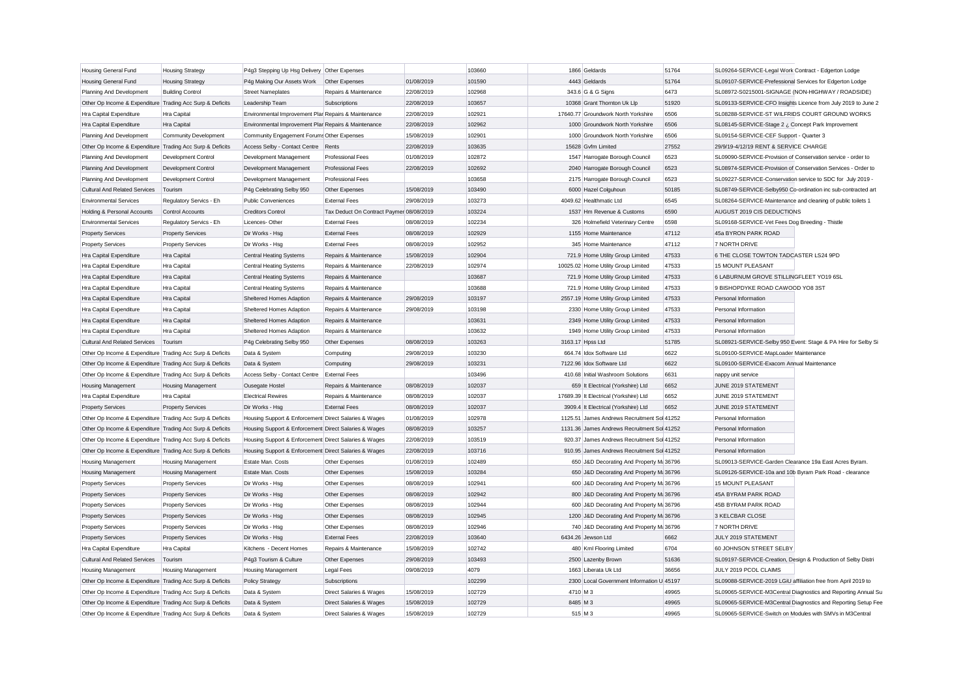| Housing General Fund                                      | <b>Housing Strategy</b>      | P4g3 Stepping Up Hsg Delivery Other Expenses          |                                          |            | 103660 |           | 1866 Geldards                               | 51764 | SL09264-SERVICE-Legal Work Contract - Edgerton Lodge          |                                                               |
|-----------------------------------------------------------|------------------------------|-------------------------------------------------------|------------------------------------------|------------|--------|-----------|---------------------------------------------|-------|---------------------------------------------------------------|---------------------------------------------------------------|
| Housing General Fund                                      | <b>Housing Strategy</b>      | P4g Making Our Assets Work                            | Other Expenses                           | 01/08/2019 | 101590 |           | 4443 Geldards                               | 51764 | SL09107-SERVICE-Prefessional Services for Edgerton Lodge      |                                                               |
| Planning And Development                                  | <b>Building Control</b>      | <b>Street Nameplates</b>                              | Repairs & Maintenance                    | 22/08/2019 | 102968 |           | 343.6 G & G Signs                           | 6473  | SL08972-S0215001-SIGNAGE (NON-HIGHWAY / ROADSIDE)             |                                                               |
| Other Op Income & Expenditure Trading Acc Surp & Deficits |                              | Leadership Team                                       | Subscriptions                            | 22/08/2019 | 103657 |           | 10368 Grant Thornton Uk Llp                 | 51920 |                                                               | SL09133-SERVICE-CFO Insights Licence from July 2019 to June 2 |
| Hra Capital Expenditure                                   | Hra Capital                  | Environmental Improvement Plar Repairs & Maintenance  |                                          | 22/08/2019 | 102921 |           | 17640.77 Groundwork North Yorkshire         | 6506  | SL08288-SERVICE-ST WILFRIDS COURT GROUND WORKS                |                                                               |
| Hra Capital Expenditure                                   | Hra Capital                  | Environmental Improvement Plar Repairs & Maintenance  |                                          | 22/08/2019 | 102962 |           | 1000 Groundwork North Yorkshire             | 6506  | SL08145-SERVICE-Stage 2 ¿ Concept Park Improvement            |                                                               |
| Planning And Development                                  | <b>Community Development</b> | Community Engagement Forums Other Expenses            |                                          | 15/08/2019 | 102901 |           | 1000 Groundwork North Yorkshire             | 6506  | SL09154-SERVICE-CEF Support - Quarter 3                       |                                                               |
| Other Op Income & Expenditure Trading Acc Surp & Deficits |                              | Access Selby - Contact Centre Rents                   |                                          | 22/08/2019 | 103635 |           | 15628 Gvfm Limited                          | 27552 | 29/9/19-4/12/19 RENT & SERVICE CHARGE                         |                                                               |
| Planning And Development                                  | Development Control          | Development Management                                | <b>Professional Fees</b>                 | 01/08/2019 | 102872 |           | 1547 Harrogate Borough Council              | 6523  | SL09090-SERVICE-Provision of Conservation service - order to  |                                                               |
| Planning And Development                                  | Development Control          | Development Management                                | <b>Professional Fees</b>                 | 22/08/2019 | 102692 |           | 2040 Harrogate Borough Council              | 6523  | SL08974-SERVICE-Provision of Conservation Services - Order to |                                                               |
| Planning And Development                                  | Development Control          | Development Management                                | <b>Professional Fees</b>                 |            | 103658 |           | 2175 Harrogate Borough Council              | 6523  | SL09227-SERVICE-Conservation service to SDC for July 2019 -   |                                                               |
| <b>Cultural And Related Services</b>                      | Tourism                      | P4q Celebrating Selby 950                             | Other Expenses                           | 15/08/2019 | 103490 |           | 6000 Hazel Colguhoun                        | 50185 | SL08749-SERVICE-Selby950 Co-ordination inc sub-contracted art |                                                               |
| <b>Environmental Services</b>                             | Regulatory Servics - Eh      | <b>Public Conveniences</b>                            | <b>External Fees</b>                     | 29/08/2019 | 103273 |           | 4049.62 Healthmatic Ltd                     | 6545  | SL08264-SERVICE-Maintenance and cleaning of public toilets 1  |                                                               |
| Holding & Personal Accounts                               | Control Accounts             | <b>Creditors Control</b>                              | Tax Deduct On Contract Paymer 08/08/2019 |            | 103224 |           | 1537 Hm Revenue & Customs                   | 6590  | AUGUST 2019 CIS DEDUCTIONS                                    |                                                               |
| <b>Environmental Services</b>                             | Regulatory Servics - Eh      | Licences-Other                                        | <b>External Fees</b>                     | 08/08/2019 | 102234 |           | 326 Holmefield Veterinary Centre            | 6598  | SL09168-SERVICE-Vet Fees Dog Breeding - Thistle               |                                                               |
| <b>Property Services</b>                                  | <b>Property Services</b>     | Dir Works - Hsg                                       | <b>External Fees</b>                     | 08/08/2019 | 102929 |           | 1155 Home Maintenance                       | 47112 | 45a BYRON PARK ROAD                                           |                                                               |
| <b>Property Services</b>                                  | <b>Property Services</b>     | Dir Works - Hsg                                       | <b>External Fees</b>                     | 08/08/2019 | 102952 |           | 345 Home Maintenance                        | 47112 | 7 NORTH DRIVE                                                 |                                                               |
| Hra Capital Expenditure                                   | Hra Capital                  | <b>Central Heating Systems</b>                        | Repairs & Maintenance                    | 15/08/2019 | 102904 |           | 721.9 Home Utility Group Limited            | 47533 | 6 THE CLOSE TOWTON TADCASTER LS24 9PD                         |                                                               |
| Hra Capital Expenditure                                   | Hra Capital                  | <b>Central Heating Systems</b>                        | Repairs & Maintenance                    | 22/08/2019 | 102974 |           | 10025.02 Home Utility Group Limited         | 47533 | 15 MOUNT PLEASANT                                             |                                                               |
| Hra Capital Expenditure                                   | <b>Hra Capital</b>           | <b>Central Heating Systems</b>                        | Repairs & Maintenance                    |            | 103687 |           | 721.9 Home Utility Group Limited            | 47533 | 6 LABURNUM GROVE STILLINGFLEET YO19 6SL                       |                                                               |
| Hra Capital Expenditure                                   | Hra Capital                  | <b>Central Heating Systems</b>                        | Repairs & Maintenance                    |            | 103688 |           | 721.9 Home Utility Group Limited            | 47533 | 9 BISHOPDYKE ROAD CAWOOD YO8 3ST                              |                                                               |
| Hra Capital Expenditure                                   | Hra Capital                  | Sheltered Homes Adaption                              | Repairs & Maintenance                    | 29/08/2019 | 103197 |           | 2557.19 Home Utility Group Limited          | 47533 | Personal Information                                          |                                                               |
| Hra Capital Expenditure                                   | Hra Capital                  | Sheltered Homes Adaption                              | Repairs & Maintenance                    | 29/08/2019 | 103198 |           | 2330 Home Utility Group Limited             | 47533 | Personal Information                                          |                                                               |
| Hra Capital Expenditure                                   | Hra Capital                  | Sheltered Homes Adaption                              | Repairs & Maintenance                    |            | 103631 |           | 2349 Home Utility Group Limited             | 47533 | Personal Information                                          |                                                               |
| Hra Capital Expenditure                                   | Hra Capital                  | Sheltered Homes Adaption                              | Repairs & Maintenance                    |            | 103632 |           | 1949 Home Utility Group Limited             | 47533 | Personal Information                                          |                                                               |
| <b>Cultural And Related Services</b>                      | Tourism                      | P4g Celebrating Selby 950                             | Other Expenses                           | 08/08/2019 | 103263 |           | 3163.17 Hpss Ltd                            | 51785 |                                                               | SL08921-SERVICE-Selby 950 Event: Stage & PA Hire for Selby Si |
| Other Op Income & Expenditure Trading Acc Surp & Deficits |                              | Data & System                                         | Computing                                | 29/08/2019 | 103230 |           | 664.74 Idox Software Ltd                    | 6622  | SL09100-SERVICE-MapLoader Maintenance                         |                                                               |
| Other Op Income & Expenditure Trading Acc Surp & Deficits |                              | Data & System                                         | Computing                                | 29/08/2019 | 103231 |           | 7122.96 Idox Software Ltd                   | 6622  | SL09100-SERVICE-Exacom Annual Maintenance                     |                                                               |
| Other Op Income & Expenditure Trading Acc Surp & Deficits |                              | Access Selby - Contact Centre                         | <b>External Fees</b>                     |            | 103496 |           | 410.68 Initial Washroom Solutions           | 6631  | nappy unit service                                            |                                                               |
| <b>Housing Management</b>                                 | <b>Housing Management</b>    | <b>Ousegate Hostel</b>                                | Repairs & Maintenance                    | 08/08/2019 | 102037 |           | 659 It Electrical (Yorkshire) Ltd           | 6652  | JUNE 2019 STATEMENT                                           |                                                               |
| Hra Capital Expenditure                                   | Hra Capital                  | <b>Electrical Rewires</b>                             | Repairs & Maintenance                    | 08/08/2019 | 102037 |           | 17689.39 It Electrical (Yorkshire) Ltd      | 6652  | JUNE 2019 STATEMENT                                           |                                                               |
| <b>Property Services</b>                                  | <b>Property Services</b>     | Dir Works - Hsg                                       | <b>External Fees</b>                     | 08/08/2019 | 102037 |           | 3909.4 It Electrical (Yorkshire) Ltd        | 6652  | JUNE 2019 STATEMENT                                           |                                                               |
| Other Op Income & Expenditure Trading Acc Surp & Deficits |                              | Housing Support & Enforcement Direct Salaries & Wages |                                          | 01/08/2019 | 102978 |           | 1125.51 James Andrews Recruitment Sol 41252 |       | Personal Information                                          |                                                               |
| Other Op Income & Expenditure Trading Acc Surp & Deficits |                              | Housing Support & Enforcement Direct Salaries & Wages |                                          | 08/08/2019 | 103257 |           | 1131.36 James Andrews Recruitment Sol 41252 |       | Personal Information                                          |                                                               |
| Other Op Income & Expenditure Trading Acc Surp & Deficits |                              | Housing Support & Enforcement Direct Salaries & Wages |                                          | 22/08/2019 | 103519 |           | 920.37 James Andrews Recruitment Sol 41252  |       | Personal Information                                          |                                                               |
| Other Op Income & Expenditure Trading Acc Surp & Deficits |                              | Housing Support & Enforcement Direct Salaries & Wages |                                          | 22/08/2019 | 103716 |           | 910.95 James Andrews Recruitment Sol 41252  |       | Personal Information                                          |                                                               |
| Housing Management                                        | <b>Housing Management</b>    | Estate Man, Costs                                     | Other Expenses                           | 01/08/2019 | 102489 |           | 650 J&D Decorating And Property M: 36796    |       | SL09013-SERVICE-Garden Clearance 19a East Acres Byram.        |                                                               |
| <b>Housing Management</b>                                 | <b>Housing Management</b>    | Estate Man. Costs                                     | Other Expenses                           | 15/08/2019 | 103284 |           | 650 J&D Decorating And Property M: 36796    |       | SL09126-SERVICE-10a and 10b Byram Park Road - clearance       |                                                               |
| <b>Property Services</b>                                  | <b>Property Services</b>     | Dir Works - Hsg                                       | Other Expenses                           | 08/08/2019 | 102941 |           | 600 J&D Decorating And Property M: 36796    |       | <b>15 MOUNT PLEASANT</b>                                      |                                                               |
| <b>Property Services</b>                                  | <b>Property Services</b>     | Dir Works - Hsg                                       | Other Expenses                           | 08/08/2019 | 102942 |           | 800 J&D Decorating And Property M: 36796    |       | 45A BYRAM PARK ROAD                                           |                                                               |
| <b>Property Services</b>                                  | <b>Property Services</b>     | Dir Works - Hsg                                       | Other Expenses                           | 08/08/2019 | 102944 |           | 600 J&D Decorating And Property M: 36796    |       | 45B BYRAM PARK ROAD                                           |                                                               |
| <b>Property Services</b>                                  | <b>Property Services</b>     | Dir Works - Hsg                                       | Other Expenses                           | 08/08/2019 | 102945 |           | 1200 J&D Decorating And Property M: 36796   |       | 3 KELCBAR CLOSE                                               |                                                               |
| <b>Property Services</b>                                  | <b>Property Services</b>     | Dir Works - Hsg                                       | Other Expenses                           | 08/08/2019 | 102946 |           | 740 J&D Decorating And Property M: 36796    |       | 7 NORTH DRIVE                                                 |                                                               |
| <b>Property Services</b>                                  | <b>Property Services</b>     | Dir Works - Hsg                                       | <b>External Fees</b>                     | 22/08/2019 | 103640 |           | 6434.26 Jewson Ltd                          | 6662  | JULY 2019 STATEMENT                                           |                                                               |
| Hra Capital Expenditure                                   | Hra Capital                  | Kitchens - Decent Homes                               | Repairs & Maintenance                    | 15/08/2019 | 102742 |           | 480 Kml Flooring Limited                    | 6704  | 60 JOHNSON STREET SELBY                                       |                                                               |
| <b>Cultural And Related Services</b>                      | Tourism                      | P4g3 Tourism & Culture                                | Other Expenses                           | 29/08/2019 | 103493 |           | 2500 Lazenby Brown                          | 51636 | SL09197-SERVICE-Creation, Design & Production of Selby Distri |                                                               |
| Housing Management                                        | Housing Management           | <b>Housing Management</b>                             | <b>Legal Fees</b>                        | 09/08/2019 | 4079   |           | 1663 Liberata Uk Ltd                        | 36656 | JULY 2019 PCOL CLAIMS                                         |                                                               |
| Other Op Income & Expenditure Trading Acc Surp & Deficits |                              | <b>Policy Strategy</b>                                | Subscriptions                            |            | 102299 |           | 2300 Local Government Information U 45197   |       | SL09088-SERVICE-2019 LGiU affiliation free from April 2019 to |                                                               |
| Other Op Income & Expenditure Trading Acc Surp & Deficits |                              | Data & System                                         | Direct Salaries & Wages                  | 15/08/2019 | 102729 | 4710 M 3  |                                             | 49965 |                                                               | SL09065-SERVICE-M3Central Diagnostics and Reporting Annual Su |
| Other Op Income & Expenditure Trading Acc Surp & Deficits |                              | Data & System                                         | Direct Salaries & Wages                  | 15/08/2019 | 102729 | 8485 M 3  |                                             | 49965 |                                                               | SL09065-SERVICE-M3Central Diagnostics and Reporting Setup Fee |
| Other Op Income & Expenditure Trading Acc Surp & Deficits |                              | Data & System                                         | Direct Salaries & Wages                  | 15/08/2019 | 102729 | $515$ M 3 |                                             | 49965 | SL09065-SERVICE-Switch on Modules with SMVs in M3Central      |                                                               |
|                                                           |                              |                                                       |                                          |            |        |           |                                             |       |                                                               |                                                               |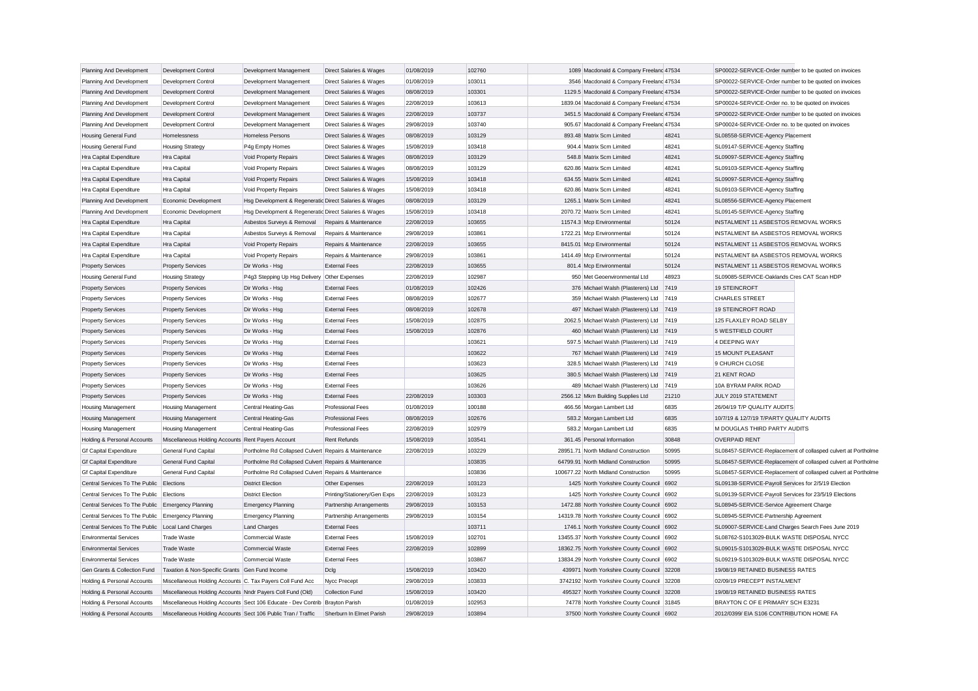| Planning And Development                          | Development Control                                           | Development Management                                                       | Direct Salaries & Wages      | 01/08/2019 | 102760 | 1089 Macdonald & Company Freelanc 47534      |       | SP00022-SERVICE-Order number to be quoted on invoices  |                                                               |
|---------------------------------------------------|---------------------------------------------------------------|------------------------------------------------------------------------------|------------------------------|------------|--------|----------------------------------------------|-------|--------------------------------------------------------|---------------------------------------------------------------|
| Planning And Development                          | Development Control                                           | Development Management                                                       | Direct Salaries & Wages      | 01/08/2019 | 103011 | 3546 Macdonald & Company Freeland 47534      |       | SP00022-SERVICE-Order number to be quoted on invoices  |                                                               |
| Planning And Development                          | Development Control                                           | Development Management                                                       | Direct Salaries & Wages      | 08/08/2019 | 103301 | 1129.5 Macdonald & Company Freelanc 47534    |       | SP00022-SERVICE-Order number to be quoted on invoices  |                                                               |
| Planning And Development                          | Development Control                                           | Development Management                                                       | Direct Salaries & Wages      | 22/08/2019 | 103613 | 1839.04 Macdonald & Company Freeland 47534   |       | SP00024-SERVICE-Order no. to be quoted on invoices     |                                                               |
| Planning And Development                          | Development Control                                           | Development Management                                                       | Direct Salaries & Wages      | 22/08/2019 | 103737 | 3451.5 Macdonald & Company Freelanc 47534    |       | SP00022-SERVICE-Order number to be quoted on invoices  |                                                               |
| Planning And Development                          | Development Control                                           | Development Management                                                       | Direct Salaries & Wages      | 29/08/2019 | 103740 | 905.67 Macdonald & Company Freeland 47534    |       | SP00024-SERVICE-Order no. to be quoted on invoices     |                                                               |
| <b>Housing General Fund</b>                       | Homelessness                                                  | <b>Homeless Persons</b>                                                      | Direct Salaries & Wages      | 08/08/2019 | 103129 | 893.48 Matrix Scm Limited                    | 48241 | SL08558-SERVICE-Agency Placement                       |                                                               |
| <b>Housing General Fund</b>                       | <b>Housing Strategy</b>                                       | P4g Empty Homes                                                              | Direct Salaries & Wages      | 15/08/2019 | 103418 | 904.4 Matrix Scm Limited                     | 48241 | SL09147-SERVICE-Agency Staffing                        |                                                               |
| Hra Capital Expenditure                           | <b>Hra Capital</b>                                            | Void Property Repairs                                                        | Direct Salaries & Wages      | 08/08/2019 | 103129 | 548.8 Matrix Scm Limited                     | 48241 | SL09097-SERVICE-Agency Staffing                        |                                                               |
| Hra Capital Expenditure                           | Hra Capital                                                   | Void Property Repairs                                                        | Direct Salaries & Wages      | 08/08/2019 | 103129 | 620.86 Matrix Scm Limited                    | 48241 | SL09103-SERVICE-Agency Staffing                        |                                                               |
| Hra Capital Expenditure                           | Hra Capital                                                   | Void Property Repairs                                                        | Direct Salaries & Wages      | 15/08/2019 | 103418 | 634.55 Matrix Scm Limited                    | 48241 | SL09097-SERVICE-Agency Staffing                        |                                                               |
| Hra Capital Expenditure                           | Hra Capital                                                   | Void Property Repairs                                                        | Direct Salaries & Wages      | 15/08/2019 | 103418 | 620.86 Matrix Scm Limited                    | 48241 | SL09103-SERVICE-Agency Staffing                        |                                                               |
| Planning And Development                          | Economic Development                                          | Hsg Development & Regeneratic Direct Salaries & Wages                        |                              | 08/08/2019 | 103129 | 1265.1 Matrix Scm Limited                    | 48241 | SL08556-SERVICE-Agency Placement                       |                                                               |
| Planning And Development                          | Economic Development                                          | Hsg Development & Regeneratic Direct Salaries & Wages                        |                              | 15/08/2019 | 103418 | 2070.72 Matrix Scm Limited                   | 48241 | SL09145-SERVICE-Agency Staffing                        |                                                               |
| Hra Capital Expenditure                           | <b>Hra Capital</b>                                            | Asbestos Surveys & Removal                                                   | Repairs & Maintenance        | 22/08/2019 | 103655 | 11574.3 Mcp Environmental                    | 50124 | INSTALMENT 11 ASBESTOS REMOVAL WORKS                   |                                                               |
| Hra Capital Expenditure                           | Hra Capital                                                   | Asbestos Surveys & Removal                                                   | Repairs & Maintenance        | 29/08/2019 | 103861 | 1722.21 Mcp Environmental                    | 50124 | INSTALMENT 8A ASBESTOS REMOVAL WORKS                   |                                                               |
| Hra Capital Expenditure                           | Hra Capital                                                   | Void Property Repairs                                                        | Repairs & Maintenance        | 22/08/2019 | 103655 | 8415.01 Mcp Environmental                    | 50124 | INSTALMENT 11 ASBESTOS REMOVAL WORKS                   |                                                               |
| Hra Capital Expenditure                           | Hra Capital                                                   | Void Property Repairs                                                        | Repairs & Maintenance        | 29/08/2019 | 103861 | 1414.49 Mcp Environmental                    | 50124 | INSTALMENT 8A ASBESTOS REMOVAL WORKS                   |                                                               |
| <b>Property Services</b>                          | <b>Property Services</b>                                      | Dir Works - Hsg                                                              | <b>External Fees</b>         | 22/08/2019 | 103655 | 801.4 Mcp Environmental                      | 50124 | <b>INSTALMENT 11 ASBESTOS REMOVAL WORKS</b>            |                                                               |
| <b>Housing General Fund</b>                       | <b>Housing Strategy</b>                                       | P4g3 Stepping Up Hsg Delivery Other Expenses                                 |                              | 22/08/2019 | 102987 | 950 Met Geoenvironmental Ltd                 | 48923 | SL09085-SERVICE-Oaklands Cres CAT Scan HDP             |                                                               |
| <b>Property Services</b>                          | <b>Property Services</b>                                      | Dir Works - Hsg                                                              | <b>External Fees</b>         | 01/08/2019 | 102426 | 376 Michael Walsh (Plasterers) Ltd           | 7419  | 19 STEINCROFT                                          |                                                               |
| <b>Property Services</b>                          | <b>Property Services</b>                                      | Dir Works - Hsg                                                              | <b>External Fees</b>         | 08/08/2019 | 102677 | 359 Michael Walsh (Plasterers) Ltd           | 7419  | <b>CHARLES STREET</b>                                  |                                                               |
| <b>Property Services</b>                          | <b>Property Services</b>                                      | Dir Works - Hsg                                                              | <b>External Fees</b>         | 08/08/2019 | 102678 | 497 Michael Walsh (Plasterers) Ltd           | 7419  | 19 STEINCROFT ROAD                                     |                                                               |
| <b>Property Services</b>                          | <b>Property Services</b>                                      | Dir Works - Hsg                                                              | <b>External Fees</b>         | 15/08/2019 | 102875 | 2062.5 Michael Walsh (Plasterers) Ltd        | 7419  | 125 FLAXLEY ROAD SELBY                                 |                                                               |
| <b>Property Services</b>                          | <b>Property Services</b>                                      | Dir Works - Hsg                                                              | <b>External Fees</b>         | 15/08/2019 | 102876 | 460 Michael Walsh (Plasterers) Ltd           | 7419  | 5 WESTFIELD COURT                                      |                                                               |
| <b>Property Services</b>                          | <b>Property Services</b>                                      | Dir Works - Hsg                                                              | <b>External Fees</b>         |            | 103621 | 597.5 Michael Walsh (Plasterers) Ltd         | 7419  | 4 DEEPING WAY                                          |                                                               |
| <b>Property Services</b>                          | <b>Property Services</b>                                      | Dir Works - Hsg                                                              | <b>External Fees</b>         |            | 103622 | 767 Michael Walsh (Plasterers) Ltd           | 7419  | 15 MOUNT PLEASANT                                      |                                                               |
| <b>Property Services</b>                          | <b>Property Services</b>                                      | Dir Works - Hsg                                                              | <b>External Fees</b>         |            | 103623 | 328.5 Michael Walsh (Plasterers) Ltd 7419    |       | 9 CHURCH CLOSE                                         |                                                               |
| <b>Property Services</b>                          | <b>Property Services</b>                                      | Dir Works - Hsg                                                              | <b>External Fees</b>         |            | 103625 | 380.5 Michael Walsh (Plasterers) Ltd         | 7419  | 21 KENT ROAD                                           |                                                               |
| <b>Property Services</b>                          | <b>Property Services</b>                                      | Dir Works - Hsg                                                              | <b>External Fees</b>         |            | 103626 | 489 Michael Walsh (Plasterers) Ltd           | 7419  | 10A BYRAM PARK ROAD                                    |                                                               |
| <b>Property Services</b>                          | <b>Property Services</b>                                      | Dir Works - Hsg                                                              | <b>External Fees</b>         | 22/08/2019 | 103303 | 2566.12 Mkm Building Supplies Ltd            | 21210 | JULY 2019 STATEMENT                                    |                                                               |
| <b>Housing Management</b>                         | <b>Housing Management</b>                                     | Central Heating-Gas                                                          | <b>Professional Fees</b>     | 01/08/2019 | 100188 | 466.56 Morgan Lambert Ltd                    | 6835  | 26/04/19 T/P QUALITY AUDITS                            |                                                               |
| <b>Housing Management</b>                         | <b>Housing Management</b>                                     | Central Heating-Gas                                                          | <b>Professional Fees</b>     | 08/08/2019 | 102676 | 583.2 Morgan Lambert Ltd                     | 6835  | 10/7/19 & 12/7/19 T/PARTY QUALITY AUDITS               |                                                               |
| <b>Housing Management</b>                         | <b>Housing Management</b>                                     | <b>Central Heating-Gas</b>                                                   | <b>Professional Fees</b>     | 22/08/2019 | 102979 | 583.2 Morgan Lambert Ltd                     | 6835  | M DOUGLAS THIRD PARTY AUDITS                           |                                                               |
| Holding & Personal Accounts                       | Miscellaneous Holding Accounts Rent Payers Account            |                                                                              | <b>Rent Refunds</b>          | 15/08/2019 | 103541 | 361.45 Personal Information                  | 30848 | <b>OVERPAID RENT</b>                                   |                                                               |
| <b>Gf Capital Expenditure</b>                     | General Fund Capital                                          | Portholme Rd Collapsed Culvert Repairs & Maintenance                         |                              | 22/08/2019 | 103229 | 28951.71 North Midland Construction          | 50995 |                                                        | SL08457-SERVICE-Replacement of collasped culvert at Portholme |
| <b>Gf Capital Expenditure</b>                     | General Fund Capital                                          | Portholme Rd Collapsed Culvert Repairs & Maintenance                         |                              |            | 103835 | 64799.91 North Midland Construction          | 50995 |                                                        | SL08457-SERVICE-Replacement of collasped culvert at Portholme |
| <b>Gf Capital Expenditure</b>                     | General Fund Capital                                          | Portholme Rd Collapsed Culvert Repairs & Maintenance                         |                              |            | 103836 | 100677.22 North Midland Construction         | 50995 |                                                        | SL08457-SERVICE-Replacement of collasped culvert at Portholme |
| Central Services To The Public                    | Elections                                                     | <b>District Election</b>                                                     | Other Expenses               | 22/08/2019 | 103123 | 1425 North Yorkshire County Council 6902     |       | SL09138-SERVICE-Payroll Services for 2/5/19 Election   |                                                               |
| Central Services To The Public                    | Elections                                                     | <b>District Election</b>                                                     | Printing/Stationery/Gen Exps | 22/08/2019 | 103123 | 1425 North Yorkshire County Council 6902     |       | SL09139-SERVICE-Pavroll Services for 23/5/19 Elections |                                                               |
| Central Services To The Public Emergency Planning |                                                               | <b>Emergency Planning</b>                                                    | Partnership Arrangements     | 29/08/2019 | 103153 | 1472.88 North Yorkshire County Council 6902  |       | SL08945-SERVICE-Service Agreement Charge               |                                                               |
| Central Services To The Public Emergency Planning |                                                               | <b>Emergency Planning</b>                                                    | Partnership Arrangements     | 29/08/2019 | 103154 | 14319.78 North Yorkshire County Council 6902 |       | SL08945-SERVICE-Partnership Agreement                  |                                                               |
| Central Services To The Public Local Land Charges |                                                               | <b>Land Charges</b>                                                          | <b>External Fees</b>         |            | 103711 | 1746.1 North Yorkshire County Council 6902   |       | SL09007-SERVICE-Land Charges Search Fees June 2019     |                                                               |
| <b>Environmental Services</b>                     | <b>Trade Waste</b>                                            | Commercial Waste                                                             | <b>External Fees</b>         | 15/08/2019 | 102701 | 13455.37 North Yorkshire County Council 6902 |       | SL08762-S1013029-BULK WASTE DISPOSAL NYCC              |                                                               |
| <b>Environmental Services</b>                     | Trade Waste                                                   | Commercial Waste                                                             | <b>External Fees</b>         | 22/08/2019 | 102899 | 18362.75 North Yorkshire County Council 6902 |       | SL09015-S1013029-BULK WASTE DISPOSAL NYCC              |                                                               |
| <b>Environmental Services</b>                     | Trade Waste                                                   | Commercial Waste                                                             | <b>External Fees</b>         |            | 103867 | 13834.29 North Yorkshire County Council 6902 |       | SL09219-S1013029-BULK WASTE DISPOSAL NYCC              |                                                               |
| Gen Grants & Collection Fund                      | Taxation & Non-Specific Grants Gen Fund Income                |                                                                              | Dclg                         | 15/08/2019 | 103420 | 439971 North Yorkshire County Council 32208  |       | 19/08/19 RETAINED BUSINESS RATES                       |                                                               |
| Holding & Personal Accounts                       | Miscellaneous Holding Accounts C. Tax Payers Coll Fund Acc    |                                                                              | Nycc Precept                 | 29/08/2019 | 103833 | 3742192 North Yorkshire County Council 32208 |       | 02/09/19 PRECEPT INSTALMENT                            |                                                               |
| Holding & Personal Accounts                       | Miscellaneous Holding Accounts Nndr Payers Coll Fund (Old)    |                                                                              | <b>Collection Fund</b>       | 15/08/2019 | 103420 | 495327 North Yorkshire County Council 32208  |       | 19/08/19 RETAINED BUSINESS RATES                       |                                                               |
| Holding & Personal Accounts                       |                                                               | Miscellaneous Holding Accounts Sect 106 Educate - Dev Contrib Brayton Parish |                              | 01/08/2019 | 102953 | 74778 North Yorkshire County Council 31845   |       | BRAYTON C OF E PRIMARY SCH E3231                       |                                                               |
| Holding & Personal Accounts                       | Miscellaneous Holding Accounts Sect 106 Public Tran / Traffic |                                                                              | Sherburn In Elmet Parish     | 29/08/2019 | 103894 | 37500 North Yorkshire County Council 6902    |       | 2012/0399/ EIA S106 CONTRIBUTION HOME FA               |                                                               |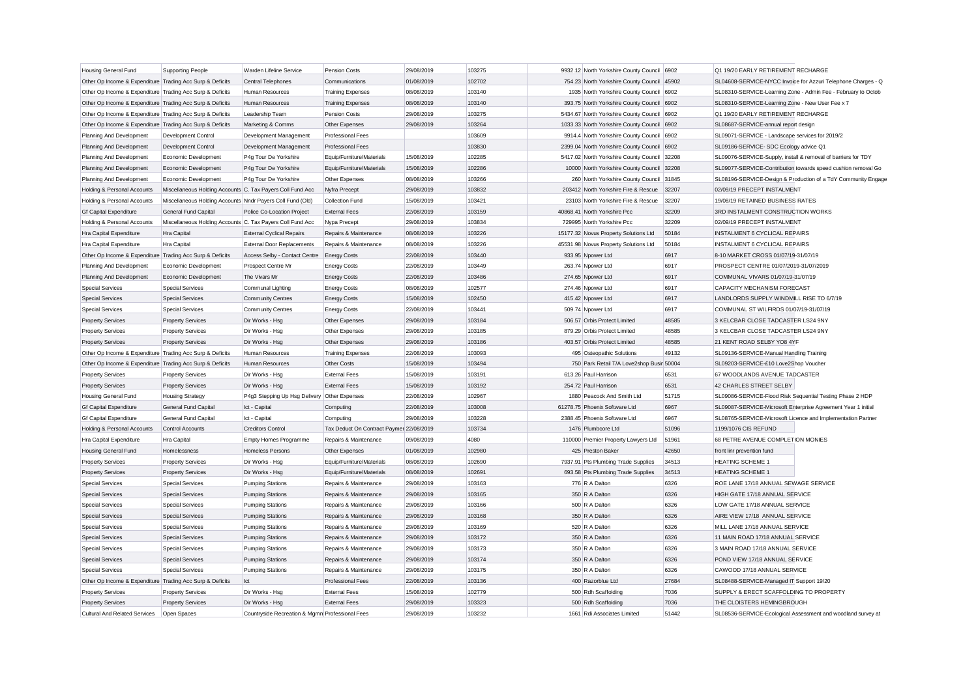| <b>Housing General Fund</b>                               | <b>Supporting People</b>                                   | Warden Lifeline Service                         | Pension Costs                                          | 29/08/2019 | 103275 | 9932.12 North Yorkshire County Council 6902          |       | Q1 19/20 EARLY RETIREMENT RECHARGE                            |
|-----------------------------------------------------------|------------------------------------------------------------|-------------------------------------------------|--------------------------------------------------------|------------|--------|------------------------------------------------------|-------|---------------------------------------------------------------|
| Other Op Income & Expenditure Trading Acc Surp & Deficits |                                                            | <b>Central Telephones</b>                       | Communications                                         | 01/08/2019 | 102702 | 754.23 North Yorkshire County Council 45902          |       | SL04608-SERVICE-NYCC Invoice for Azzuri Telephone Charges - Q |
| Other Op Income & Expenditure Trading Acc Surp & Deficits |                                                            | Human Resources                                 | <b>Training Expenses</b>                               | 08/08/2019 | 103140 | 1935 North Yorkshire County Council 6902             |       | SL08310-SERVICE-Learning Zone - Admin Fee - February to Octob |
| Other Op Income & Expenditure Trading Acc Surp & Deficits |                                                            | Human Resources                                 | <b>Training Expenses</b>                               | 08/08/2019 | 103140 | 393.75 North Yorkshire County Council 6902           |       | SL08310-SERVICE-Learning Zone - New User Fee x 7              |
| Other Op Income & Expenditure Trading Acc Surp & Deficits |                                                            | Leadership Team                                 | Pension Costs                                          | 29/08/2019 | 103275 | 5434.67 North Yorkshire County Council 6902          |       | Q1 19/20 EARLY RETIREMENT RECHARGE                            |
| Other Op Income & Expenditure Trading Acc Surp & Deficits |                                                            | Marketing & Comms                               | Other Expenses                                         | 29/08/2019 | 103264 | 1033.33 North Yorkshire County Council               | 6902  | SL08687-SERVICE-annual report design                          |
| Planning And Development                                  | Development Control                                        | Development Management                          | <b>Professional Fees</b>                               |            | 103609 | 9914.4 North Yorkshire County Council 6902           |       | SL09071-SERVICE - Landscape services for 2019/2               |
| Planning And Development                                  | <b>Development Control</b>                                 | Development Management                          | <b>Professional Fees</b>                               |            | 103830 | 2399.04 North Yorkshire County Council               | 6902  | SL09186-SERVICE- SDC Ecology advice Q1                        |
| Planning And Development                                  | Economic Development                                       | P4g Tour De Yorkshire                           | Equip/Furniture/Materials                              | 15/08/2019 | 102285 | 5417.02 North Yorkshire County Council 32208         |       | SL09076-SERVICE-Supply, install & removal of barriers for TDY |
| Planning And Development                                  | Economic Development                                       | P4g Tour De Yorkshire                           | Equip/Furniture/Materials                              | 15/08/2019 | 102286 | 10000 North Yorkshire County Council 32208           |       | SL09077-SERVICE-Contribution towards speed cushion removal Go |
| Planning And Development                                  | Economic Development                                       | P4g Tour De Yorkshire                           | Other Expenses                                         | 08/08/2019 | 103266 | 260 North Yorkshire County Council                   | 31845 | SL08196-SERVICE-Design & Production of a TdY Community Engage |
| Holding & Personal Accounts                               | Miscellaneous Holding Accounts C. Tax Payers Coll Fund Acc |                                                 | Nyfra Precept                                          | 29/08/2019 | 103832 | 203412 North Yorkshire Fire & Rescue                 | 32207 | 02/09/19 PRECEPT INSTALMENT                                   |
| Holding & Personal Accounts                               | Miscellaneous Holding Accounts Nndr Payers Coll Fund (Old) |                                                 | Collection Fund                                        | 15/08/2019 | 103421 | 23103 North Yorkshire Fire & Rescue                  | 32207 | 19/08/19 RETAINED BUSINESS RATES                              |
| <b>Gf Capital Expenditure</b>                             | General Fund Capital                                       | Police Co-Location Project                      | <b>External Fees</b>                                   | 22/08/2019 | 103159 | 40868.41 North Yorkshire Pcc                         | 32209 | 3RD INSTALMENT CONSTRUCTION WORKS                             |
| Holding & Personal Accounts                               | Miscellaneous Holding Accounts C. Tax Payers Coll Fund Acc |                                                 | Nypa Precept                                           | 29/08/2019 | 103834 | 729995 North Yorkshire Pcc                           | 32209 | 02/09/19 PRECEPT INSTALMENT                                   |
| Hra Capital Expenditure                                   | Hra Capital                                                | <b>External Cyclical Repairs</b>                | Repairs & Maintenance                                  | 08/08/2019 | 103226 | 15177.32 Novus Property Solutions Ltd                | 50184 | <b>INSTALMENT 6 CYCLICAL REPAIRS</b>                          |
| Hra Capital Expenditure                                   | Hra Capital                                                | <b>External Door Replacements</b>               | Repairs & Maintenance                                  | 08/08/2019 | 103226 | 45531.98 Novus Property Solutions Ltd                | 50184 | <b>INSTALMENT 6 CYCLICAL REPAIRS</b>                          |
| Other Op Income & Expenditure Trading Acc Surp & Deficits |                                                            | Access Selby - Contact Centre                   | <b>Energy Costs</b>                                    | 22/08/2019 | 103440 | 933.95 Npower Ltd                                    | 6917  | 8-10 MARKET CROSS 01/07/19-31/07/19                           |
| Planning And Development                                  | Economic Development                                       | Prospect Centre Mr                              | <b>Energy Costs</b>                                    | 22/08/2019 | 103449 | 263.74 Npower Ltd                                    | 6917  | PROSPECT CENTRE 01/07/2019-31/07/2019                         |
| Planning And Development                                  | Economic Development                                       | The Vivars Mr                                   | <b>Energy Costs</b>                                    | 22/08/2019 | 103486 | 274.65 Npower Ltd                                    | 6917  | COMMUNAL VIVARS 01/07/19-31/07/19                             |
| <b>Special Services</b>                                   | <b>Special Services</b>                                    | Communal Lighting                               | <b>Energy Costs</b>                                    | 08/08/2019 | 102577 | 274.46 Npower Ltd                                    | 6917  | CAPACITY MECHANISM FORECAST                                   |
| <b>Special Services</b>                                   | <b>Special Services</b>                                    | <b>Community Centres</b>                        | <b>Energy Costs</b>                                    | 15/08/2019 | 102450 | 415.42 Npower Ltd                                    | 6917  | LANDLORDS SUPPLY WINDMILL RISE TO 6/7/19                      |
| <b>Special Services</b>                                   | <b>Special Services</b>                                    | <b>Community Centres</b>                        | <b>Energy Costs</b>                                    | 22/08/2019 | 103441 | 509.74 Npower Ltd                                    | 6917  | COMMUNAL ST WILFIRDS 01/07/19-31/07/19                        |
| <b>Property Services</b>                                  | <b>Property Services</b>                                   | Dir Works - Hsg                                 | Other Expenses                                         | 29/08/2019 | 103184 | 506.57 Orbis Protect Limited                         | 48585 | 3 KELCBAR CLOSE TADCASTER LS24 9NY                            |
| <b>Property Services</b>                                  | <b>Property Services</b>                                   | Dir Works - Hsg                                 | Other Expenses                                         | 29/08/2019 | 103185 | 879.29 Orbis Protect Limited                         | 48585 | 3 KELCBAR CLOSE TADCASTER LS24 9NY                            |
| <b>Property Services</b>                                  | <b>Property Services</b>                                   | Dir Works - Hsg                                 | Other Expenses                                         | 29/08/2019 | 103186 | 403.57 Orbis Protect Limited                         | 48585 | 21 KENT ROAD SELBY YO8 4YF                                    |
| Other Op Income & Expenditure Trading Acc Surp & Deficits |                                                            | Human Resources                                 | <b>Training Expenses</b>                               | 22/08/2019 | 103093 | 495 Osteopathic Solutions                            | 49132 | SL09136-SERVICE-Manual Handling Training                      |
| Other Op Income & Expenditure Trading Acc Surp & Deficits |                                                            | Human Resources                                 | Other Costs                                            | 15/08/2019 | 103494 | 750 Park Retail T/A Love2shop Busir 50004            |       | SL09203-SERVICE-£10 Love2Shop Voucher                         |
| <b>Property Services</b>                                  | <b>Property Services</b>                                   | Dir Works - Hsg                                 | <b>External Fees</b>                                   | 15/08/2019 | 103191 | 613.26 Paul Harrison                                 | 6531  | 67 WOODLANDS AVENUE TADCASTER                                 |
| <b>Property Services</b>                                  | <b>Property Services</b>                                   | Dir Works - Hsg                                 | <b>External Fees</b>                                   | 15/08/2019 | 103192 | 254.72 Paul Harrison                                 | 6531  | 42 CHARLES STREET SELBY                                       |
| <b>Housing General Fund</b>                               | <b>Housing Strategy</b>                                    | P4g3 Stepping Up Hsg Delivery Other Expenses    |                                                        | 22/08/2019 | 102967 | 1880 Peacock And Smith Ltd                           | 51715 | SL09086-SERVICE-Flood Risk Sequential Testing Phase 2 HDP     |
| <b>Gf Capital Expenditure</b>                             | General Fund Capital                                       | Ict - Capital                                   | Computing                                              | 22/08/2019 | 103008 | 61278.75 Phoenix Software Ltd                        | 6967  | SL09087-SERVICE-Microsoft Enterprise Agreement Year 1 initial |
| <b>Gf Capital Expenditure</b>                             | General Fund Capital                                       | Ict - Capital                                   | Computing                                              | 29/08/2019 | 103228 | 2388.45 Phoenix Software Ltd                         | 6967  | SL08765-SERVICE-Microsoft Licence and Implementation Partner  |
| Holding & Personal Accounts                               | Control Accounts                                           | <b>Creditors Control</b>                        | Tax Deduct On Contract Paymer 22/08/2019               |            | 103734 | 1476 Plumbcore Ltd                                   | 51096 | 1199/1076 CIS REFUND                                          |
| Hra Capital Expenditure                                   | Hra Capital                                                | <b>Empty Homes Programme</b>                    | Repairs & Maintenance                                  | 09/08/2019 | 4080   | 110000 Premier Property Lawyers Ltd                  | 51961 | 68 PETRE AVENUE COMPLETION MONIES                             |
|                                                           |                                                            |                                                 | Other Expenses                                         | 01/08/2019 | 102980 | 425 Preston Baker                                    | 42650 | front linr prevention fund                                    |
| Housing General Fund                                      | Homelessness                                               | Homeless Persons                                |                                                        | 08/08/2019 | 102690 |                                                      | 34513 | <b>HEATING SCHEME 1</b>                                       |
| <b>Property Services</b>                                  | <b>Property Services</b>                                   | Dir Works - Hsg                                 | Equip/Furniture/Materials<br>Equip/Furniture/Materials | 08/08/2019 | 102691 | 7937.91 Pts Plumbing Trade Supplies                  | 34513 | <b>HEATING SCHEME 1</b>                                       |
| <b>Property Services</b>                                  | <b>Property Services</b>                                   | Dir Works - Hsg                                 |                                                        | 29/08/2019 | 103163 | 693.58 Pts Plumbing Trade Supplies<br>776 R A Dalton | 6326  | ROE LANE 17/18 ANNUAL SEWAGE SERVICE                          |
| <b>Special Services</b>                                   | <b>Special Services</b>                                    | <b>Pumping Stations</b>                         | Repairs & Maintenance                                  |            |        |                                                      |       |                                                               |
| <b>Special Services</b>                                   | <b>Special Services</b>                                    | <b>Pumping Stations</b>                         | Repairs & Maintenance                                  | 29/08/2019 | 103165 | 350 R A Dalton                                       | 6326  | HIGH GATE 17/18 ANNUAL SERVICE                                |
| <b>Special Services</b>                                   | <b>Special Services</b>                                    | <b>Pumping Stations</b>                         | Repairs & Maintenance                                  | 29/08/2019 | 103166 | 500 R A Dalton                                       | 6326  | LOW GATE 17/18 ANNUAL SERVICE                                 |
| <b>Special Services</b>                                   | <b>Special Services</b>                                    | <b>Pumping Stations</b>                         | Repairs & Maintenance                                  | 29/08/2019 | 103168 | 350 R A Dalton                                       | 6326  | AIRE VIEW 17/18 ANNUAL SERVICE                                |
| <b>Special Services</b>                                   | <b>Special Services</b>                                    | <b>Pumping Stations</b>                         | Repairs & Maintenance                                  | 29/08/2019 | 103169 | 520 R A Dalton                                       | 6326  | MILL LANE 17/18 ANNUAL SERVICE                                |
| <b>Special Services</b>                                   | <b>Special Services</b>                                    | <b>Pumping Stations</b>                         | Repairs & Maintenance                                  | 29/08/2019 | 103172 | 350 R A Dalton                                       | 6326  | 11 MAIN ROAD 17/18 ANNUAL SERVICE                             |
| <b>Special Services</b>                                   | <b>Special Services</b>                                    | <b>Pumping Stations</b>                         | Repairs & Maintenance                                  | 29/08/2019 | 103173 | 350 R A Dalton                                       | 6326  | 3 MAIN ROAD 17/18 ANNUAL SERVICE                              |
| <b>Special Services</b>                                   | <b>Special Services</b>                                    | <b>Pumping Stations</b>                         | Repairs & Maintenance                                  | 29/08/2019 | 103174 | 350 R A Dalton                                       | 6326  | POND VIEW 17/18 ANNUAL SERVICE                                |
| <b>Special Services</b>                                   | <b>Special Services</b>                                    | <b>Pumping Stations</b>                         | Repairs & Maintenance                                  | 29/08/2019 | 103175 | 350 R A Dalton                                       | 6326  | CAWOOD 17/18 ANNUAL SERVICE                                   |
| Other Op Income & Expenditure Trading Acc Surp & Deficits |                                                            | Ict                                             | Professional Fees                                      | 22/08/2019 | 103136 | 400 Razorblue Ltd                                    | 27684 | SL08488-SERVICE-Managed IT Support 19/20                      |
| <b>Property Services</b>                                  | <b>Property Services</b>                                   | Dir Works - Hsg                                 | <b>External Fees</b>                                   | 15/08/2019 | 102779 | 500 Rdh Scaffolding                                  | 7036  | SUPPLY & ERECT SCAFFOLDING TO PROPERTY                        |
| <b>Property Services</b>                                  | <b>Property Services</b>                                   | Dir Works - Hsg                                 | <b>External Fees</b>                                   | 29/08/2019 | 103323 | 500 Rdh Scaffolding                                  | 7036  | THE CLOISTERS HEMINGBROUGH                                    |
| Cultural And Related Services                             | Open Spaces                                                | Countryside Recreation & Mgmn Professional Fees |                                                        | 29/08/2019 | 103232 | 1661 Rdi Associates Limited                          | 51442 | SL08536-SERVICE-Ecological Assessment and woodland survey at  |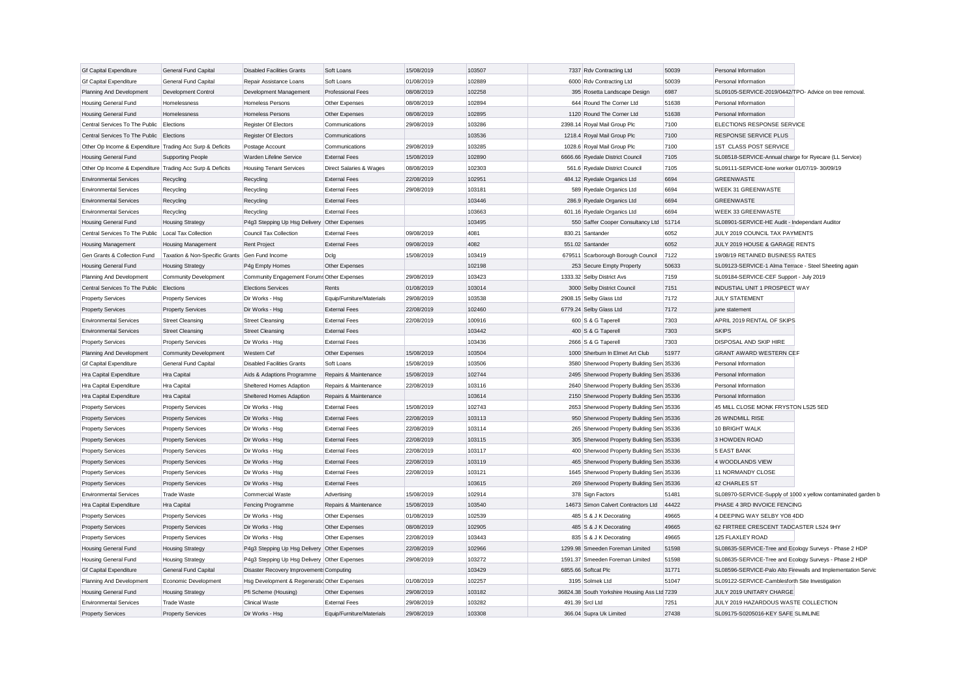| <b>Gf Capital Expenditure</b>                             | General Fund Capital                           | <b>Disabled Facilities Grants</b>            | Soft Loans                | 15/08/2019 | 103507 | 7337 Rdv Contracting Ltd                      | 50039 | Personal Information                                   |                                                               |
|-----------------------------------------------------------|------------------------------------------------|----------------------------------------------|---------------------------|------------|--------|-----------------------------------------------|-------|--------------------------------------------------------|---------------------------------------------------------------|
| <b>Gf Capital Expenditure</b>                             | General Fund Capital                           | Repair Assistance Loans                      | Soft Loans                | 01/08/2019 | 102889 | 6000 Rdv Contracting Ltd                      | 50039 | Personal Information                                   |                                                               |
| Planning And Development                                  | Development Control                            | Development Management                       | Professional Fees         | 08/08/2019 | 102258 | 395 Rosetta Landscape Design                  | 6987  | SL09105-SERVICE-2019/0442/TPO- Advice on tree removal. |                                                               |
| Housing General Fund                                      | Homelessness                                   | Homeless Persons                             | Other Expenses            | 08/08/2019 | 102894 | 644 Round The Corner Ltd                      | 51638 | Personal Information                                   |                                                               |
| <b>Housing General Fund</b>                               | Homelessness                                   | Homeless Persons                             | Other Expenses            | 08/08/2019 | 102895 | 1120 Round The Corner Ltd                     | 51638 | Personal Information                                   |                                                               |
| Central Services To The Public Elections                  |                                                | Register Of Electors                         | Communications            | 29/08/2019 | 103286 | 2398.14 Royal Mail Group Plc                  | 7100  | ELECTIONS RESPONSE SERVICE                             |                                                               |
| Central Services To The Public Elections                  |                                                | Register Of Electors                         | Communications            |            | 103536 | 1218.4 Royal Mail Group Plc                   | 7100  | <b>RESPONSE SERVICE PLUS</b>                           |                                                               |
| Other Op Income & Expenditure Trading Acc Surp & Deficits |                                                | Postage Account                              | Communications            | 29/08/2019 | 103285 | 1028.6 Royal Mail Group Plc                   | 7100  | 1ST CLASS POST SERVICE                                 |                                                               |
| <b>Housing General Fund</b>                               | <b>Supporting People</b>                       | Warden Lifeline Service                      | <b>External Fees</b>      | 15/08/2019 | 102890 | 6666.66 Ryedale District Council              | 7105  | SL08518-SERVICE-Annual charge for Ryecare (LL Service) |                                                               |
| Other Op Income & Expenditure Trading Acc Surp & Deficits |                                                | <b>Housing Tenant Services</b>               | Direct Salaries & Wages   | 08/08/2019 | 102303 | 561.6 Ryedale District Council                | 7105  | SL09111-SERVICE-lone worker 01/07/19- 30/09/19         |                                                               |
| <b>Environmental Services</b>                             | Recycling                                      | Recycling                                    | <b>External Fees</b>      | 22/08/2019 | 102951 | 484.12 Ryedale Organics Ltd                   | 6694  | <b>GREENWASTE</b>                                      |                                                               |
| <b>Environmental Services</b>                             | Recycling                                      | Recycling                                    | <b>External Fees</b>      | 29/08/2019 | 103181 | 589 Ryedale Organics Ltd                      | 6694  | <b>WEEK 31 GREENWASTE</b>                              |                                                               |
| <b>Environmental Services</b>                             | Recycling                                      | Recycling                                    | <b>External Fees</b>      |            | 103446 | 286.9 Ryedale Organics Ltd                    | 6694  | <b>GREENWASTE</b>                                      |                                                               |
| <b>Environmental Services</b>                             | Recycling                                      | Recycling                                    | <b>External Fees</b>      |            | 103663 | 601.16 Ryedale Organics Ltd                   | 6694  | WEEK 33 GREENWASTE                                     |                                                               |
| Housing General Fund                                      | <b>Housing Strategy</b>                        | P4g3 Stepping Up Hsg Delivery Other Expenses |                           |            | 103495 | 550 Saffer Cooper Consultancy Ltd             | 51714 | SL08901-SERVICE-HE Audit - Independant Auditor         |                                                               |
| Central Services To The Public                            | Local Tax Collection                           | Council Tax Collection                       | <b>External Fees</b>      | 09/08/2019 | 4081   | 830.21 Santander                              | 6052  | JULY 2019 COUNCIL TAX PAYMENTS                         |                                                               |
| <b>Housing Management</b>                                 | <b>Housing Management</b>                      | <b>Rent Project</b>                          | <b>External Fees</b>      | 09/08/2019 | 4082   | 551.02 Santander                              | 6052  | JULY 2019 HOUSE & GARAGE RENTS                         |                                                               |
| Gen Grants & Collection Fund                              | Taxation & Non-Specific Grants Gen Fund Income |                                              | Dclg                      | 15/08/2019 | 103419 | 679511 Scarborough Borough Council            | 7122  | 19/08/19 RETAINED BUSINESS RATES                       |                                                               |
| <b>Housing General Fund</b>                               | <b>Housing Strategy</b>                        | P4g Empty Homes                              | Other Expenses            |            | 102198 | 253 Secure Empty Property                     | 50633 | SL09123-SERVICE-1 Alma Terrace - Steel Sheeting again  |                                                               |
| Planning And Development                                  | <b>Community Development</b>                   | Community Engagement Forums Other Expenses   |                           | 29/08/2019 | 103423 | 1333.32 Selby District Avs                    | 7159  | SL09184-SERVICE-CEF Support - July 2019                |                                                               |
| Central Services To The Public Elections                  |                                                | <b>Elections Services</b>                    | Rents                     | 01/08/2019 | 103014 | 3000 Selby District Council                   | 7151  | <b>INDUSTIAL UNIT 1 PROSPECT WAY</b>                   |                                                               |
| <b>Property Services</b>                                  | <b>Property Services</b>                       | Dir Works - Hsg                              | Equip/Furniture/Materials | 29/08/2019 | 103538 | 2908.15 Selby Glass Ltd                       | 7172  | <b>JULY STATEMENT</b>                                  |                                                               |
| <b>Property Services</b>                                  | <b>Property Services</b>                       | Dir Works - Hsg                              | <b>External Fees</b>      | 22/08/2019 | 102460 | 6779.24 Selby Glass Ltd                       | 7172  | june statement                                         |                                                               |
| <b>Environmental Services</b>                             | <b>Street Cleansing</b>                        | <b>Street Cleansing</b>                      | <b>External Fees</b>      | 22/08/2019 | 100916 | 600 S & G Taperell                            | 7303  | APRIL 2019 RENTAL OF SKIPS                             |                                                               |
| <b>Environmental Services</b>                             | <b>Street Cleansing</b>                        | <b>Street Cleansing</b>                      | <b>External Fees</b>      |            | 103442 | 400 S & G Taperell                            | 7303  | <b>SKIPS</b>                                           |                                                               |
| <b>Property Services</b>                                  | <b>Property Services</b>                       | Dir Works - Hsg                              | <b>External Fees</b>      |            | 103436 | 2666 S & G Taperell                           | 7303  | DISPOSAL AND SKIP HIRE                                 |                                                               |
| Planning And Development                                  | <b>Community Development</b>                   | Western Cef                                  | Other Expenses            | 15/08/2019 | 103504 | 1000 Sherburn In Elmet Art Club               | 51977 | <b>GRANT AWARD WESTERN CEF</b>                         |                                                               |
| <b>Gf Capital Expenditure</b>                             | General Fund Capital                           | <b>Disabled Facilities Grants</b>            | Soft Loans                | 15/08/2019 | 103506 | 3580 Sherwood Property Building Ser 35336     |       | Personal Information                                   |                                                               |
| Hra Capital Expenditure                                   | Hra Capital                                    | Aids & Adaptions Programme                   | Repairs & Maintenance     | 15/08/2019 | 102744 | 2495 Sherwood Property Building Sen 35336     |       | Personal Information                                   |                                                               |
| Hra Capital Expenditure                                   | Hra Capital                                    | Sheltered Homes Adaption                     | Repairs & Maintenance     | 22/08/2019 | 103116 | 2640 Sherwood Property Building Serv 35336    |       | Personal Information                                   |                                                               |
| Hra Capital Expenditure                                   | Hra Capital                                    | Sheltered Homes Adaption                     | Repairs & Maintenance     |            | 103614 | 2150 Sherwood Property Building Sen 35336     |       | Personal Information                                   |                                                               |
| <b>Property Services</b>                                  | <b>Property Services</b>                       | Dir Works - Hsg                              | <b>External Fees</b>      | 15/08/2019 | 102743 | 2653 Sherwood Property Building Sen 35336     |       | 45 MILL CLOSE MONK FRYSTON LS25 5ED                    |                                                               |
| <b>Property Services</b>                                  | <b>Property Services</b>                       | Dir Works - Hsg                              | <b>External Fees</b>      | 22/08/2019 | 103113 | 950 Sherwood Property Building Sen 35336      |       | 26 WINDMILL RISE                                       |                                                               |
| <b>Property Services</b>                                  | <b>Property Services</b>                       | Dir Works - Hsg                              | <b>External Fees</b>      | 22/08/2019 | 103114 | 265 Sherwood Property Building Sen 35336      |       | 10 BRIGHT WALK                                         |                                                               |
| <b>Property Services</b>                                  | <b>Property Services</b>                       | Dir Works - Hsg                              | <b>External Fees</b>      | 22/08/2019 | 103115 | 305 Sherwood Property Building Sen 35336      |       | 3 HOWDEN ROAD                                          |                                                               |
| <b>Property Services</b>                                  | <b>Property Services</b>                       | Dir Works - Hsg                              | <b>External Fees</b>      | 22/08/2019 | 103117 | 400 Sherwood Property Building Sen 35336      |       | <b>5 EAST BANK</b>                                     |                                                               |
| <b>Property Services</b>                                  | <b>Property Services</b>                       | Dir Works - Hsg                              | <b>External Fees</b>      | 22/08/2019 | 103119 | 465 Sherwood Property Building Sen 35336      |       | 4 WOODLANDS VIEW                                       |                                                               |
| <b>Property Services</b>                                  | <b>Property Services</b>                       | Dir Works - Hsg                              | <b>External Fees</b>      | 22/08/2019 | 103121 | 1645 Sherwood Property Building Sen 35336     |       | 11 NORMANDY CLOSE                                      |                                                               |
| <b>Property Services</b>                                  | <b>Property Services</b>                       | Dir Works - Hsg                              | <b>External Fees</b>      |            | 103615 | 269 Sherwood Property Building Sen 35336      |       | 42 CHARLES ST                                          |                                                               |
| <b>Environmental Services</b>                             | <b>Trade Waste</b>                             | <b>Commercial Waste</b>                      | Advertising               | 15/08/2019 | 102914 | 378 Sign Factors                              | 51481 |                                                        | SL08970-SERVICE-Supply of 1000 x yellow contaminated garden b |
| Hra Capital Expenditure                                   | Hra Capital                                    | Fencing Programme                            | Repairs & Maintenance     | 15/08/2019 | 103540 | 14673 Simon Calvert Contractors Ltd           | 44422 | PHASE 4 3RD INVOICE FENCING                            |                                                               |
| <b>Property Services</b>                                  | <b>Property Services</b>                       | Dir Works - Hsg                              | Other Expenses            | 01/08/2019 | 102539 | 485 S & J K Decorating                        | 49665 | 4 DEEPING WAY SELBY YO8 4DD                            |                                                               |
| <b>Property Services</b>                                  | <b>Property Services</b>                       | Dir Works - Hsg                              | Other Expenses            | 08/08/2019 | 102905 | 485 S & J K Decorating                        | 49665 | 62 FIRTREE CRESCENT TADCASTER LS24 9HY                 |                                                               |
| <b>Property Services</b>                                  | <b>Property Services</b>                       | Dir Works - Hsg                              | Other Expenses            | 22/08/2019 | 103443 | 835 S & J K Decorating                        | 49665 | 125 FLAXLEY ROAD                                       |                                                               |
| Housing General Fund                                      | <b>Housing Strategy</b>                        | P4g3 Stepping Up Hsg Delivery Other Expenses |                           | 22/08/2019 | 102966 | 1299.98 Smeeden Foreman Limited               | 51598 | SL08635-SERVICE-Tree and Ecology Surveys - Phase 2 HDP |                                                               |
| <b>Housing General Fund</b>                               | <b>Housing Strategy</b>                        | P4g3 Stepping Up Hsg Delivery Other Expenses |                           | 29/08/2019 | 103272 | 1591.37 Smeeden Foreman Limited               | 51598 | SL08635-SERVICE-Tree and Ecology Surveys - Phase 2 HDP |                                                               |
| <b>Gf Capital Expenditure</b>                             | General Fund Capital                           | Disaster Recovery Improvements Computing     |                           |            | 103429 | 6855.66 Softcat Plc                           | 31771 |                                                        | SL08596-SERVICE-Palo Alto Firewalls and Implementation Servic |
| Planning And Development                                  | Economic Development                           | Hsg Development & Regeneratic Other Expenses |                           | 01/08/2019 | 102257 | 3195 Solmek Ltd                               | 51047 | SL09122-SERVICE-Camblesforth Site Investigation        |                                                               |
| <b>Housing General Fund</b>                               | <b>Housing Strategy</b>                        | Pfi Scheme (Housing)                         | Other Expenses            | 29/08/2019 | 103182 | 36824.38 South Yorkshire Housing Ass Ltd 7239 |       | JULY 2019 UNITARY CHARGE                               |                                                               |
| <b>Environmental Services</b>                             | <b>Trade Waste</b>                             | <b>Clinical Waste</b>                        | <b>External Fees</b>      | 29/08/2019 | 103282 | 491.39 Srcl Ltd                               | 7251  | JULY 2019 HAZARDOUS WASTE COLLECTION                   |                                                               |
| <b>Property Services</b>                                  | <b>Property Services</b>                       | Dir Works - Hsa                              | Equip/Furniture/Materials | 29/08/2019 | 103308 | 366.04 Supra Uk Limited                       | 27438 | SL09175-S0205016-KEY SAFE SLIMLINE                     |                                                               |
|                                                           |                                                |                                              |                           |            |        |                                               |       |                                                        |                                                               |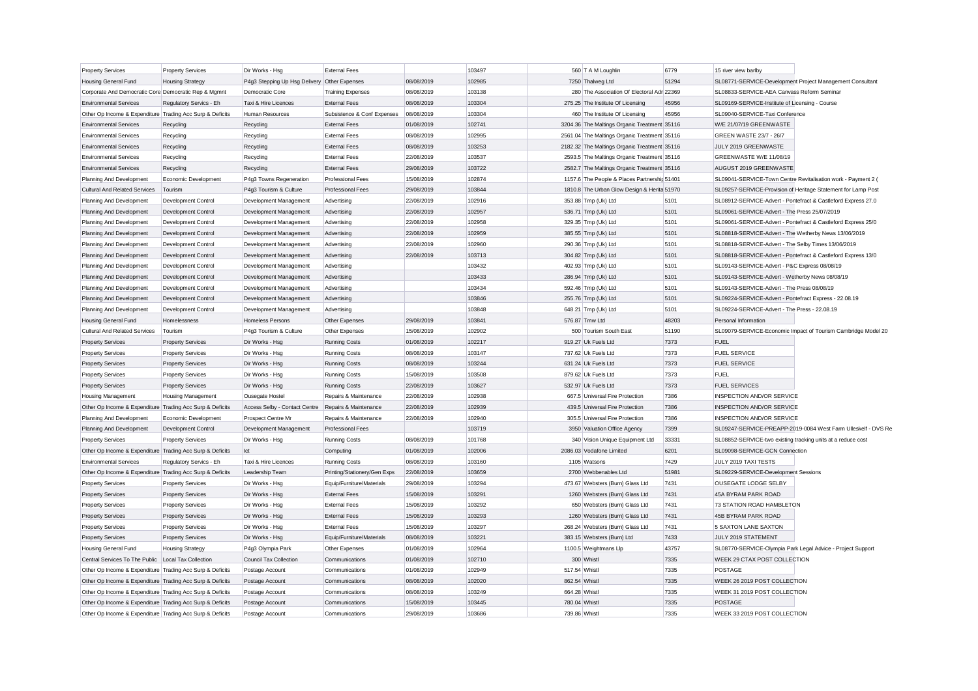| <b>Property Services</b>                                  | <b>Property Services</b>  | Dir Works - Hsg               | <b>External Fees</b>         |            | 103497 |               | 560 T A M Loughlin                           | 6779  | 15 river view barlby                                          |                                                               |
|-----------------------------------------------------------|---------------------------|-------------------------------|------------------------------|------------|--------|---------------|----------------------------------------------|-------|---------------------------------------------------------------|---------------------------------------------------------------|
| Housing General Fund                                      | <b>Housing Strategy</b>   | P4g3 Stepping Up Hsg Delivery | Other Expenses               | 08/08/2019 | 102985 |               | 7250 Thalweg Ltd                             | 51294 |                                                               | SL08771-SERVICE-Development Project Management Consultant     |
| Corporate And Democratic Core Democratic Rep & Mgmnt      |                           | Democratic Core               | <b>Training Expenses</b>     | 08/08/2019 | 103138 |               | 280 The Association Of Electoral Adr 22369   |       | SL08833-SERVICE-AEA Canvass Reform Seminar                    |                                                               |
| <b>Environmental Services</b>                             | Regulatory Servics - Eh   | Taxi & Hire Licences          | <b>External Fees</b>         | 08/08/2019 | 103304 |               | 275.25 The Institute Of Licensing            | 45956 | SL09169-SERVICE-Institute of Licensing - Course               |                                                               |
| Other Op Income & Expenditure Trading Acc Surp & Deficits |                           | <b>Human Resources</b>        | Subsistence & Conf Expenses  | 08/08/2019 | 103304 |               | 460 The Institute Of Licensing               | 45956 | SL09040-SERVICE-Taxi Conference                               |                                                               |
| <b>Environmental Services</b>                             | Recycling                 | Recycling                     | <b>External Fees</b>         | 01/08/2019 | 102741 |               | 3204.36 The Maltings Organic Treatment 35116 |       | W/E 21/07/19 GREENWASTE                                       |                                                               |
| <b>Environmental Services</b>                             | Recycling                 | Recycling                     | <b>External Fees</b>         | 08/08/2019 | 102995 |               | 2561.04 The Maltings Organic Treatment 35116 |       | GREEN WASTE 23/7 - 26/7                                       |                                                               |
| <b>Environmental Services</b>                             | Recycling                 | Recycling                     | <b>External Fees</b>         | 08/08/2019 | 103253 |               | 2182.32 The Maltings Organic Treatment 35116 |       | JULY 2019 GREENWASTE                                          |                                                               |
| <b>Environmental Services</b>                             | Recycling                 | Recycling                     | <b>External Fees</b>         | 22/08/2019 | 103537 |               | 2593.5 The Maltings Organic Treatment 35116  |       | GREENWASTE W/E 11/08/19                                       |                                                               |
| <b>Environmental Services</b>                             | Recycling                 | Recycling                     | <b>External Fees</b>         | 29/08/2019 | 103722 |               | 2582.7 The Maltings Organic Treatment 35116  |       | AUGUST 2019 GREENWASTE                                        |                                                               |
| Planning And Development                                  | Economic Development      | P4g3 Towns Regeneration       | <b>Professional Fees</b>     | 15/08/2019 | 102874 |               | 1157.6 The People & Places Partnershir 51401 |       |                                                               | SL09041-SERVICE-Town Centre Revitalisation work - Payment 2 ( |
| <b>Cultural And Related Services</b>                      | Tourism                   | P4g3 Tourism & Culture        | <b>Professional Fees</b>     | 29/08/2019 | 103844 |               | 1810.8 The Urban Glow Design & Herita 51970  |       |                                                               | SL09257-SERVICE-Provision of Heritage Statement for Lamp Post |
| Planning And Development                                  | Development Control       | Development Management        | Advertising                  | 22/08/2019 | 102916 |               | 353.88 Tmp (Uk) Ltd                          | 5101  | SL08912-SERVICE-Advert - Pontefract & Castleford Express 27.0 |                                                               |
| Planning And Development                                  | Development Control       | Development Management        | Advertising                  | 22/08/2019 | 102957 |               | 536.71 Tmp (Uk) Ltd                          | 5101  | SL09061-SERVICE-Advert - The Press 25/07/2019                 |                                                               |
| Planning And Development                                  | Development Control       | Development Management        | Advertising                  | 22/08/2019 | 102958 |               | 329.35 Tmp (Uk) Ltd                          | 5101  | SL09061-SERVICE-Advert - Pontefract & Castleford Express 25/0 |                                                               |
| Planning And Development                                  | Development Control       | Development Management        | Advertising                  | 22/08/2019 | 102959 |               | 385.55 Tmp (Uk) Ltd                          | 5101  | SL08818-SERVICE-Advert - The Wetherby News 13/06/2019         |                                                               |
| Planning And Development                                  | Development Control       | Development Management        | Advertising                  | 22/08/2019 | 102960 |               | 290.36 Tmp (Uk) Ltd                          | 5101  | SL08818-SERVICE-Advert - The Selby Times 13/06/2019           |                                                               |
| Planning And Development                                  | Development Control       | Development Management        | Advertising                  | 22/08/2019 | 103713 |               | 304.82 Tmp (Uk) Ltd                          | 5101  | SL08818-SERVICE-Advert - Pontefract & Castleford Express 13/0 |                                                               |
| Planning And Development                                  | Development Control       | Development Management        | Advertising                  |            | 103432 |               | 402.93 Tmp (Uk) Ltd                          | 5101  | SL09143-SERVICE-Advert - P&C Express 08/08/19                 |                                                               |
| Planning And Development                                  | Development Control       | Development Management        | Advertising                  |            | 103433 |               | 286.94 Tmp (Uk) Ltd                          | 5101  | SL09143-SERVICE-Advert - Wetherby News 08/08/19               |                                                               |
| Planning And Development                                  | Development Control       | Development Management        | Advertising                  |            | 103434 |               | 592.46 Tmp (Uk) Ltd                          | 5101  | SL09143-SERVICE-Advert - The Press 08/08/19                   |                                                               |
| Planning And Development                                  | Development Control       | Development Management        | Advertising                  |            | 103846 |               | 255.76 Tmp (Uk) Ltd                          | 5101  | SL09224-SERVICE-Advert - Pontefract Express - 22.08.19        |                                                               |
| Planning And Development                                  | Development Control       | Development Management        | Advertising                  |            | 103848 |               | 648.21 Tmp (Uk) Ltd                          | 5101  | SL09224-SERVICE-Advert - The Press - 22.08.19                 |                                                               |
| <b>Housing General Fund</b>                               | Homelessness              | Homeless Persons              | Other Expenses               | 29/08/2019 | 103841 |               | 576.87 Tmw Ltd                               | 48203 | Personal Information                                          |                                                               |
| <b>Cultural And Related Services</b>                      | Tourism                   | P4g3 Tourism & Culture        | Other Expenses               | 15/08/2019 | 102902 |               | 500 Tourism South East                       | 51190 |                                                               | SL09079-SERVICE-Economic Impact of Tourism Cambridge Model 20 |
| <b>Property Services</b>                                  | <b>Property Services</b>  | Dir Works - Hsg               | <b>Running Costs</b>         | 01/08/2019 | 102217 |               | 919.27 Uk Fuels Ltd                          | 7373  | <b>FUEL</b>                                                   |                                                               |
| <b>Property Services</b>                                  | <b>Property Services</b>  | Dir Works - Hsg               | <b>Running Costs</b>         | 08/08/2019 | 103147 |               | 737.62 Uk Fuels Ltd                          | 7373  | <b>FUEL SERVICE</b>                                           |                                                               |
| <b>Property Services</b>                                  | <b>Property Services</b>  | Dir Works - Hsg               | <b>Running Costs</b>         | 08/08/2019 | 103244 |               | 631.24 Uk Fuels Ltd                          | 7373  | <b>FUEL SERVICE</b>                                           |                                                               |
| <b>Property Services</b>                                  | <b>Property Services</b>  | Dir Works - Hsg               | <b>Running Costs</b>         | 15/08/2019 | 103508 |               | 879.62 Uk Fuels Ltd                          | 7373  | <b>FUEL</b>                                                   |                                                               |
| <b>Property Services</b>                                  | <b>Property Services</b>  | Dir Works - Hsg               | <b>Running Costs</b>         | 22/08/2019 | 103627 |               | 532.97 Uk Fuels Ltd                          | 7373  | <b>FUEL SERVICES</b>                                          |                                                               |
| Housing Management                                        | <b>Housing Management</b> | Ousegate Hostel               | Repairs & Maintenance        | 22/08/2019 | 102938 |               | 667.5 Universal Fire Protection              | 7386  | INSPECTION AND/OR SERVICE                                     |                                                               |
| Other Op Income & Expenditure Trading Acc Surp & Deficits |                           | Access Selby - Contact Centre | Repairs & Maintenance        | 22/08/2019 | 102939 |               | 439.5 Universal Fire Protection              | 7386  | <b>INSPECTION AND/OR SERVICE</b>                              |                                                               |
| Planning And Development                                  | Economic Development      | Prospect Centre Mr            | Repairs & Maintenance        | 22/08/2019 | 102940 |               | 305.5 Universal Fire Protection              | 7386  | <b>INSPECTION AND/OR SERVICE</b>                              |                                                               |
| Planning And Development                                  | Development Control       | Development Management        | <b>Professional Fees</b>     |            | 103719 |               | 3950 Valuation Office Agency                 | 7399  |                                                               | SL09247-SERVICE-PREAPP-2019-0084 West Farm Ulleskelf - DVS Re |
| <b>Property Services</b>                                  | <b>Property Services</b>  | Dir Works - Hsg               | <b>Running Costs</b>         | 08/08/2019 | 101768 |               | 340 Vision Unique Equipment Ltd              | 33331 | SL08852-SERVICE-two existing tracking units at a reduce cost  |                                                               |
| Other Op Income & Expenditure Trading Acc Surp & Deficits |                           | lct                           | Computing                    | 01/08/2019 | 102006 |               | 2086.03 Vodafone Limited                     | 6201  | SL09098-SERVICE-GCN Connection                                |                                                               |
| <b>Environmental Services</b>                             | Regulatory Servics - Eh   | Taxi & Hire Licences          | <b>Running Costs</b>         | 08/08/2019 | 103160 |               | 1105 Watsons                                 | 7429  | JULY 2019 TAXI TESTS                                          |                                                               |
| Other Op Income & Expenditure Trading Acc Surp & Deficits |                           | Leadership Team               | Printing/Stationery/Gen Exps | 22/08/2019 | 103659 |               | 2700 Webbenables Ltd                         | 51981 | SL09229-SERVICE-Development Sessions                          |                                                               |
| <b>Property Services</b>                                  | <b>Property Services</b>  | Dir Works - Hsg               | Equip/Furniture/Materials    | 29/08/2019 | 103294 |               | 473.67 Websters (Burn) Glass Ltd             | 7431  | OUSEGATE LODGE SELBY                                          |                                                               |
| <b>Property Services</b>                                  | <b>Property Services</b>  | Dir Works - Hsg               | <b>External Fees</b>         | 15/08/2019 | 103291 |               | 1260 Websters (Burn) Glass Ltd               | 7431  | 45A BYRAM PARK ROAD                                           |                                                               |
| <b>Property Services</b>                                  | <b>Property Services</b>  | Dir Works - Hsg               | <b>External Fees</b>         | 15/08/2019 | 103292 |               | 650 Websters (Burn) Glass Ltd                | 7431  | 73 STATION ROAD HAMBLETON                                     |                                                               |
| <b>Property Services</b>                                  | <b>Property Services</b>  | Dir Works - Hsg               | <b>External Fees</b>         | 15/08/2019 | 103293 |               | 1260 Websters (Burn) Glass Ltd               | 7431  | 45B BYRAM PARK ROAD                                           |                                                               |
| <b>Property Services</b>                                  | <b>Property Services</b>  | Dir Works - Hsa               | <b>External Fees</b>         | 15/08/2019 | 103297 |               | 268.24 Websters (Burn) Glass Ltd             | 7431  | 5 SAXTON LANE SAXTON                                          |                                                               |
| <b>Property Services</b>                                  | <b>Property Services</b>  | Dir Works - Hsg               | Equip/Furniture/Materials    | 08/08/2019 | 103221 |               | 383.15 Websters (Burn) Ltd                   | 7433  | JULY 2019 STATEMENT                                           |                                                               |
| Housing General Fund                                      | <b>Housing Strategy</b>   | P4g3 Olympia Park             | Other Expenses               | 01/08/2019 | 102964 |               | 1100.5 Weightmans Llp                        | 43757 | SL08770-SERVICE-Olympia Park Legal Advice - Project Support   |                                                               |
| Central Services To The Public                            | Local Tax Collection      | <b>Council Tax Collection</b> | Communications               | 01/08/2019 | 102710 |               | 300 Whistl                                   | 7335  | WEEK 29 CTAX POST COLLECTION                                  |                                                               |
| Other Op Income & Expenditure Trading Acc Surp & Deficits |                           | Postage Account               | Communications               | 01/08/2019 | 102949 | 517.54 Whistl |                                              | 7335  | POSTAGE                                                       |                                                               |
| Other Op Income & Expenditure Trading Acc Surp & Deficits |                           | Postage Account               | Communications               | 08/08/2019 | 102020 | 862.54 Whistl |                                              | 7335  | WEEK 26 2019 POST COLLECTION                                  |                                                               |
| Other Op Income & Expenditure Trading Acc Surp & Deficits |                           | Postage Account               | Communications               | 08/08/2019 | 103249 | 664.28 Whistl |                                              | 7335  | WEEK 31 2019 POST COLLECTION                                  |                                                               |
| Other Op Income & Expenditure Trading Acc Surp & Deficits |                           | Postage Account               | Communications               | 15/08/2019 | 103445 | 780.04 Whistl |                                              | 7335  | <b>POSTAGE</b>                                                |                                                               |
| Other Op Income & Expenditure Trading Acc Surp & Deficits |                           | Postage Account               | Communications               | 29/08/2019 | 103686 | 739.86 Whistl |                                              | 7335  | WEEK 33 2019 POST COLLECTION                                  |                                                               |
|                                                           |                           |                               |                              |            |        |               |                                              |       |                                                               |                                                               |